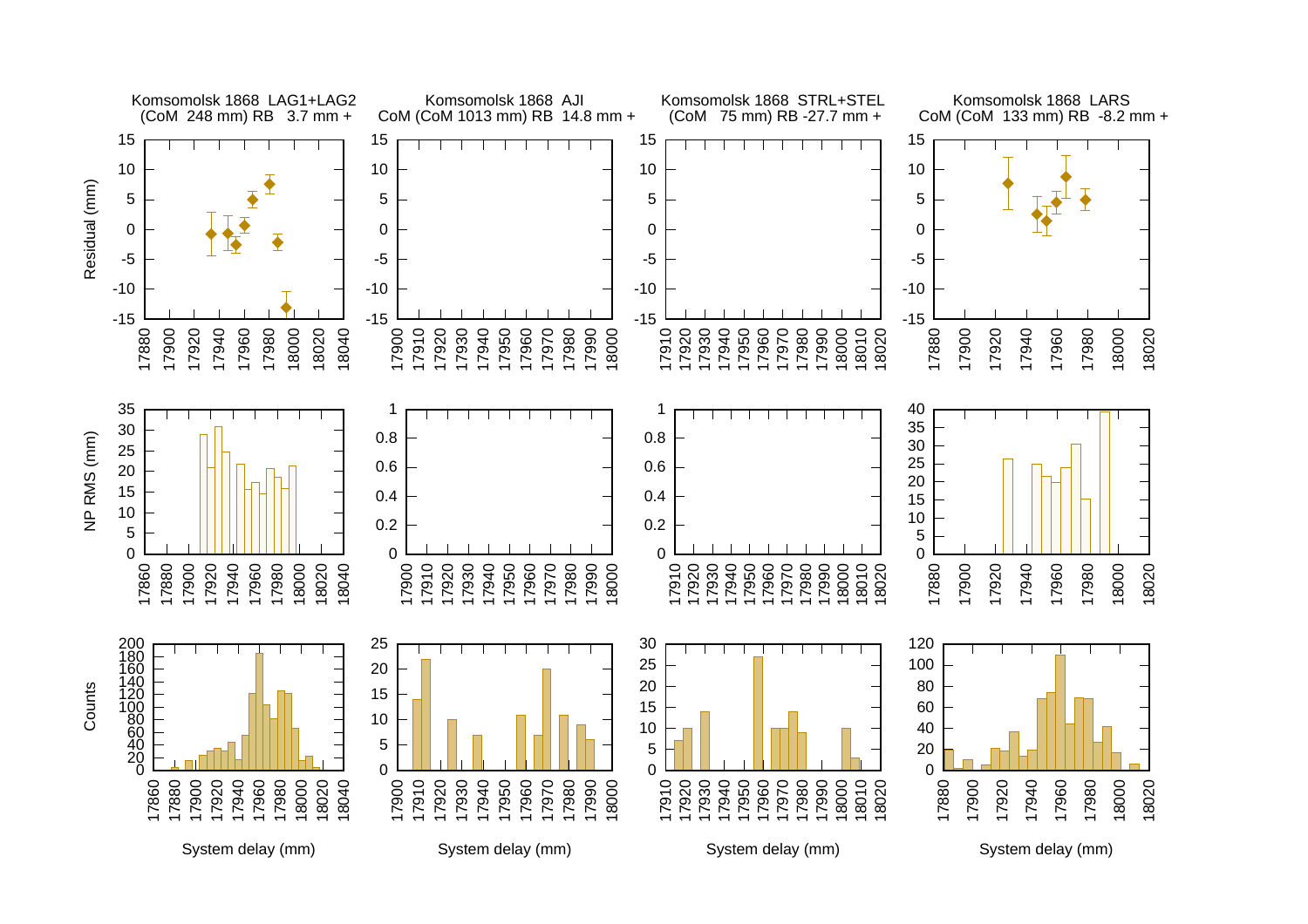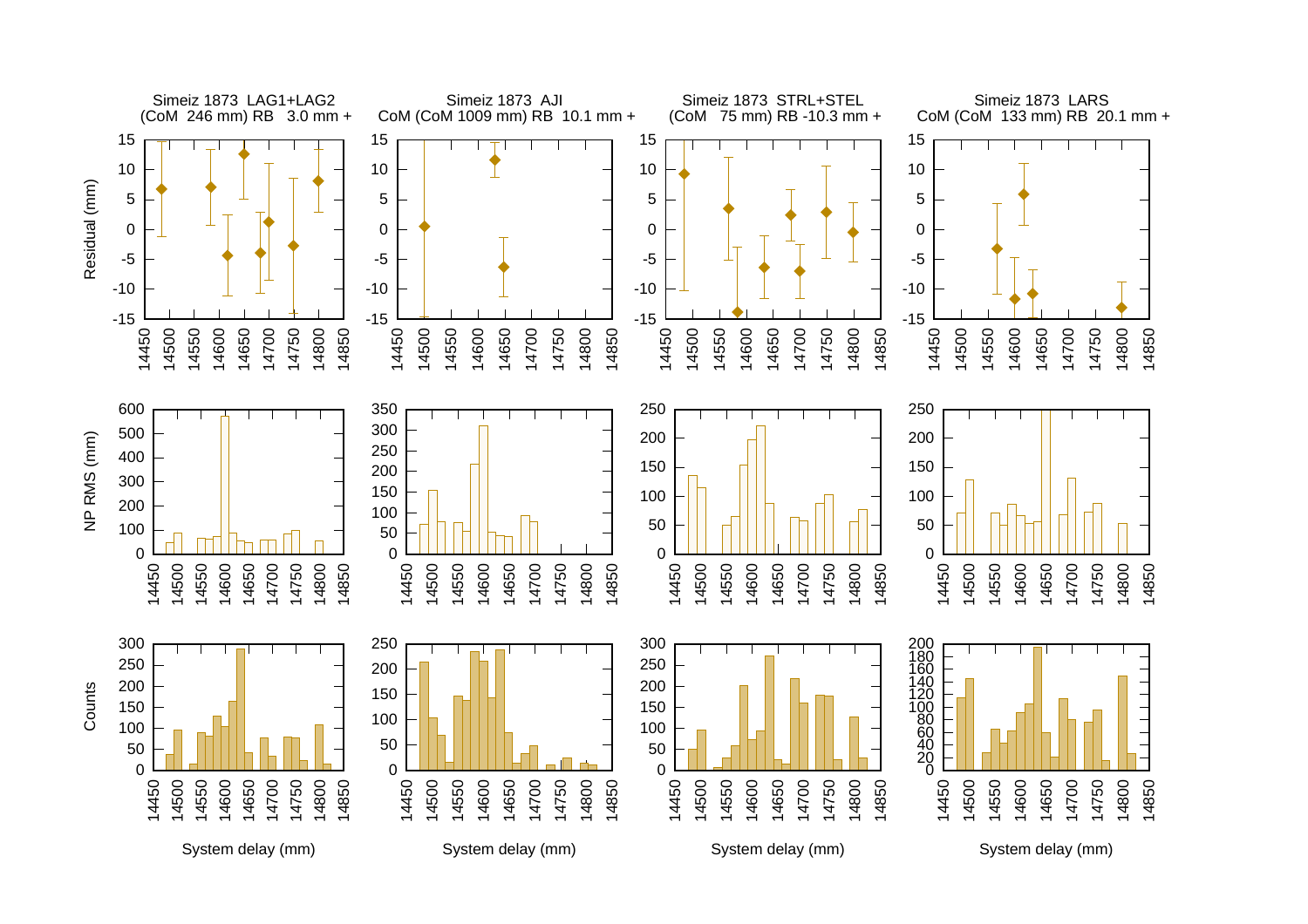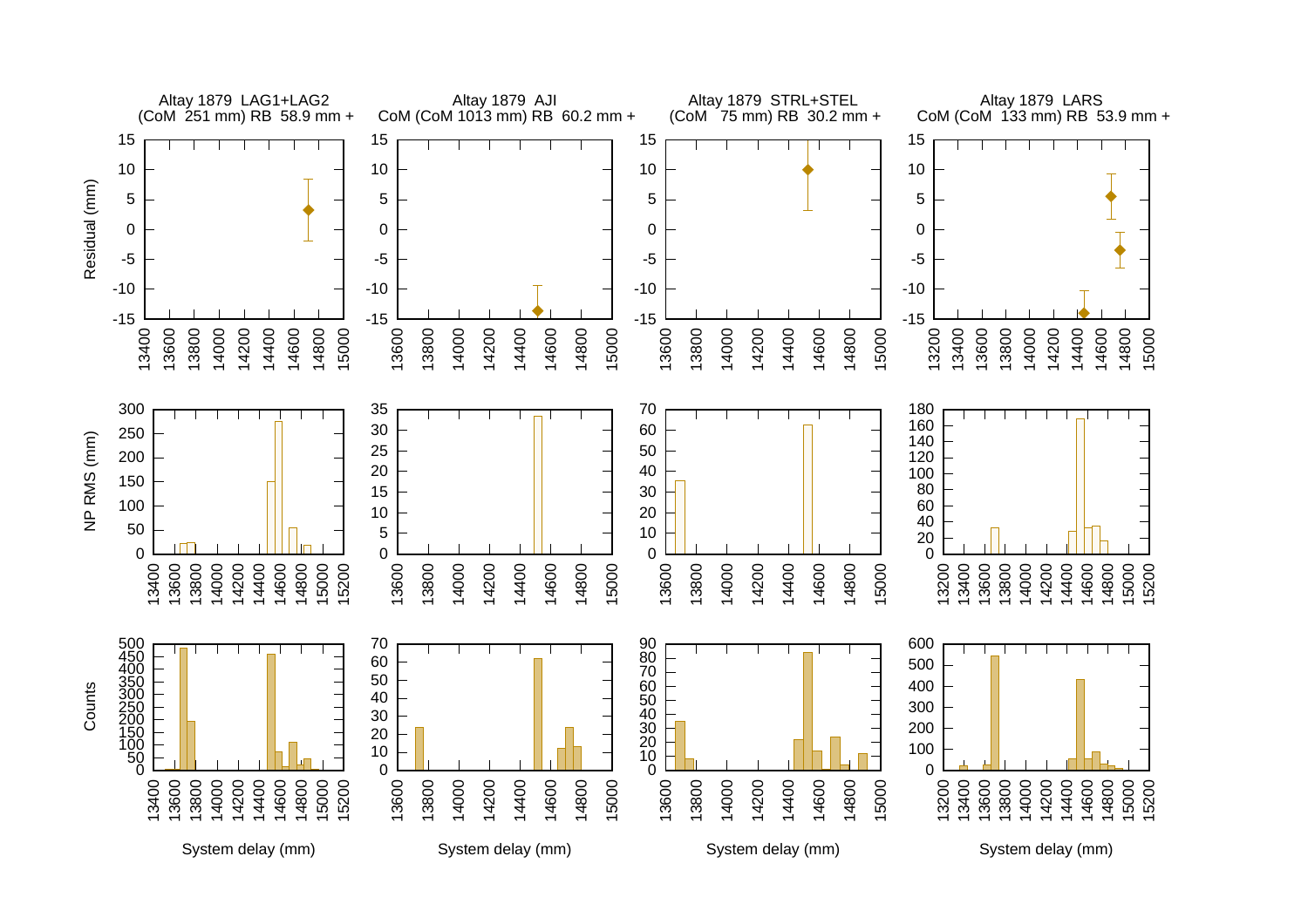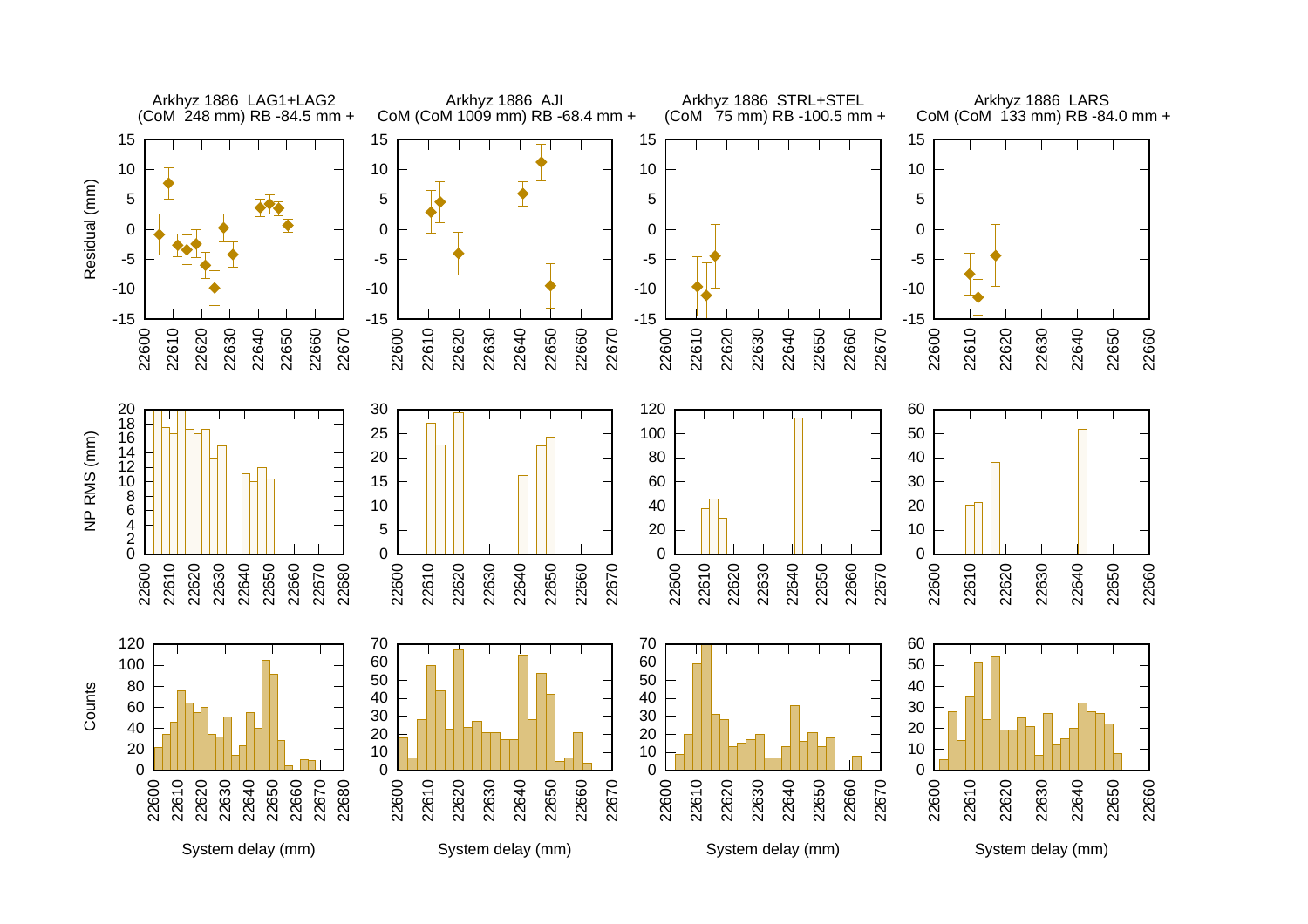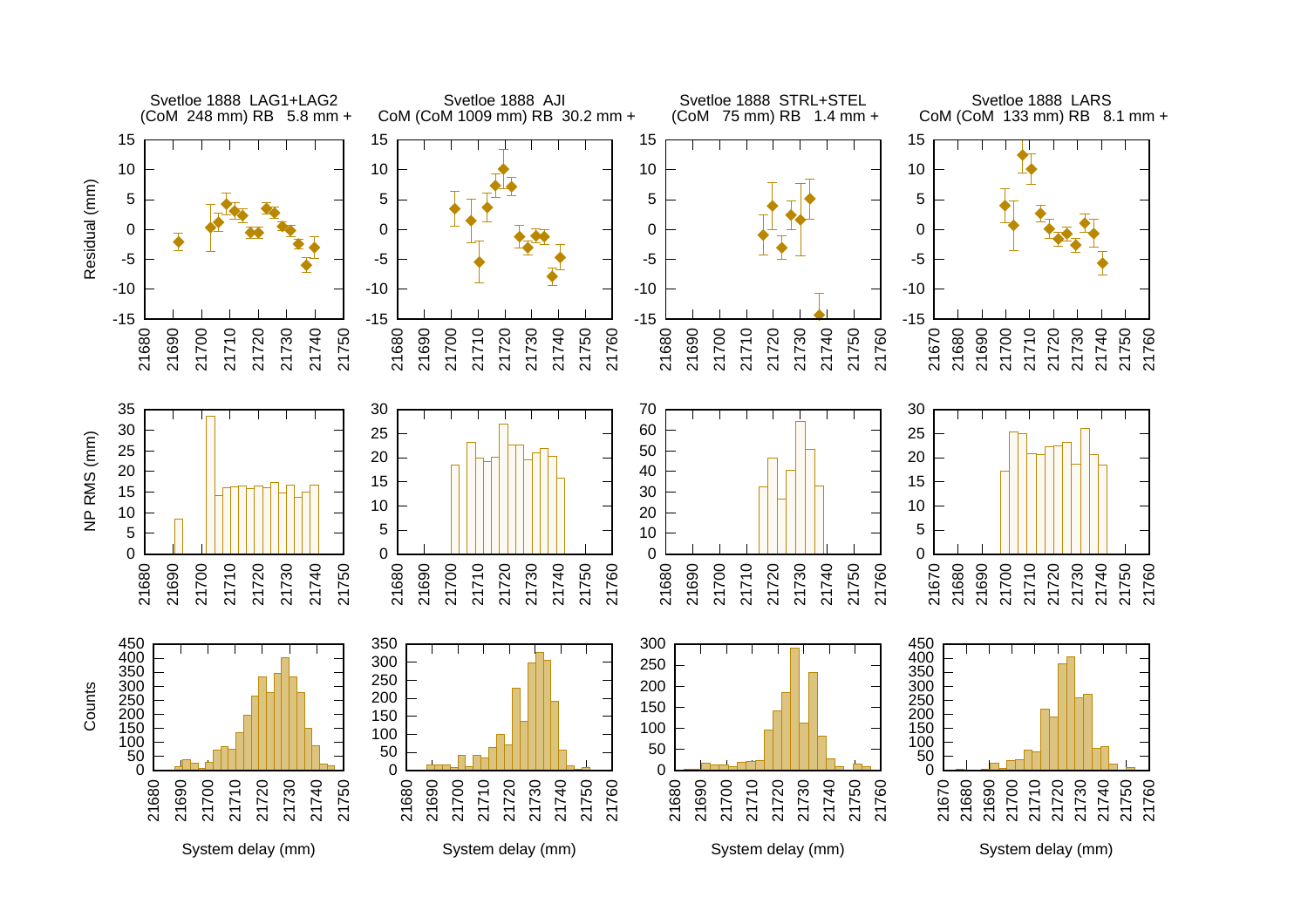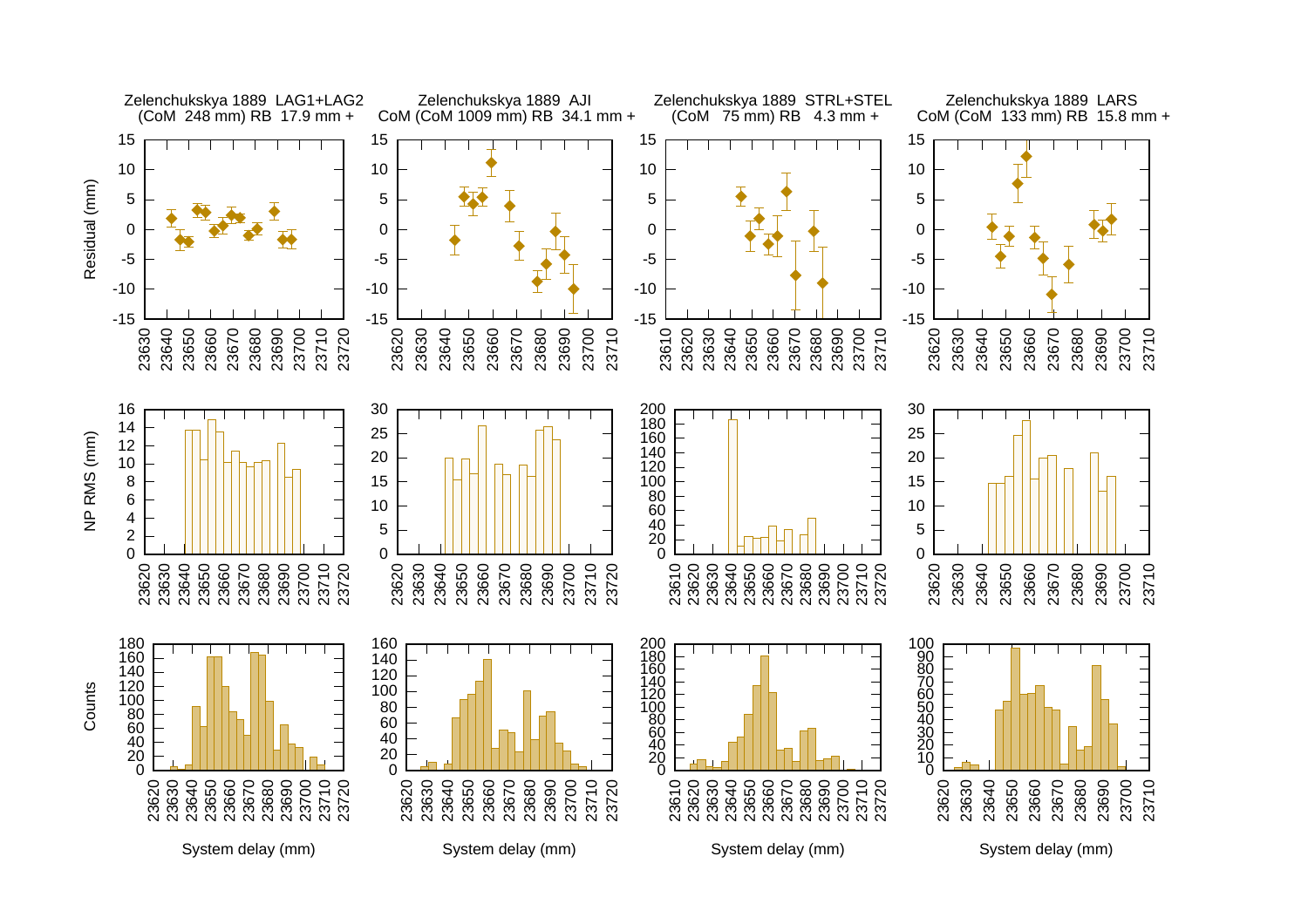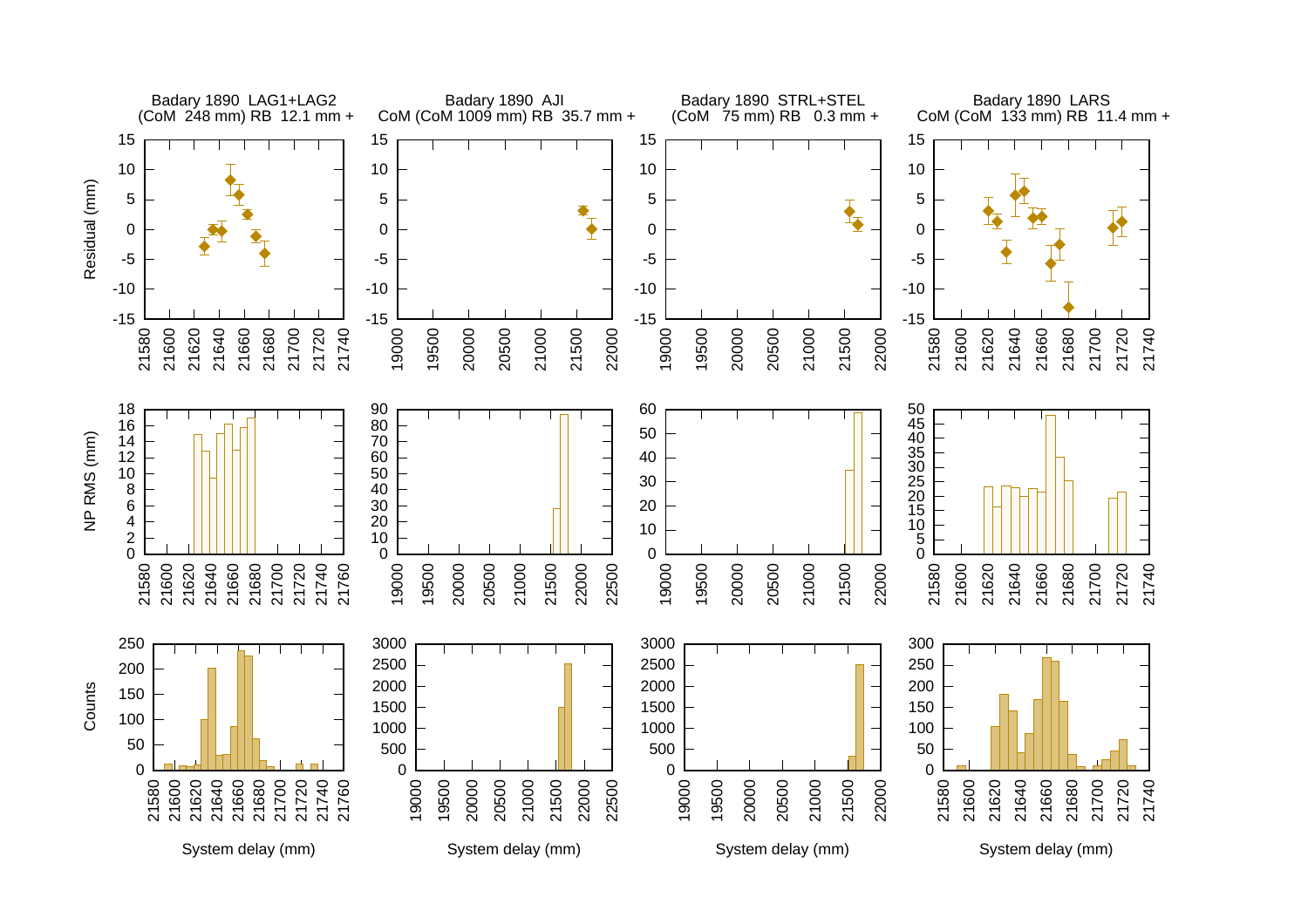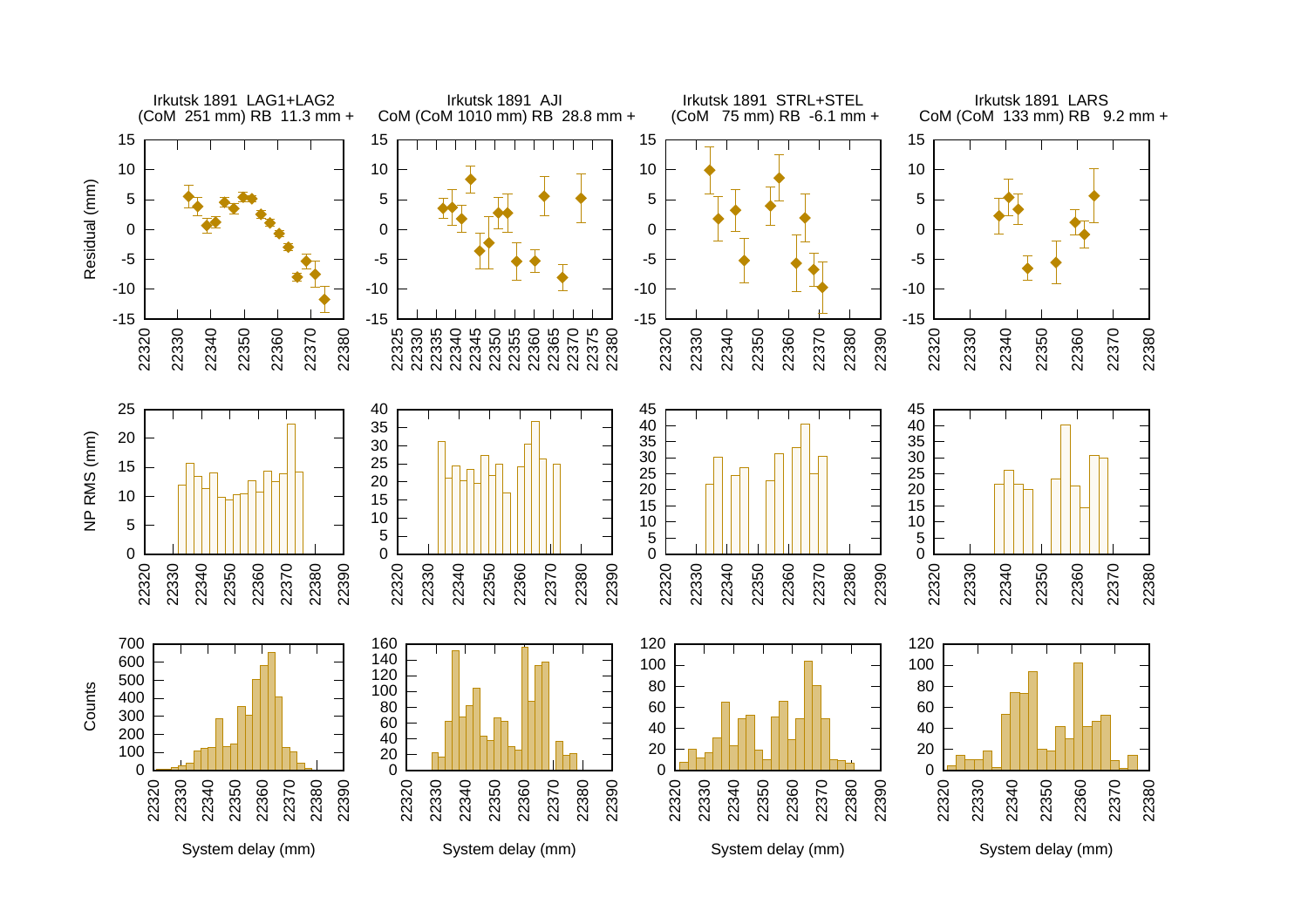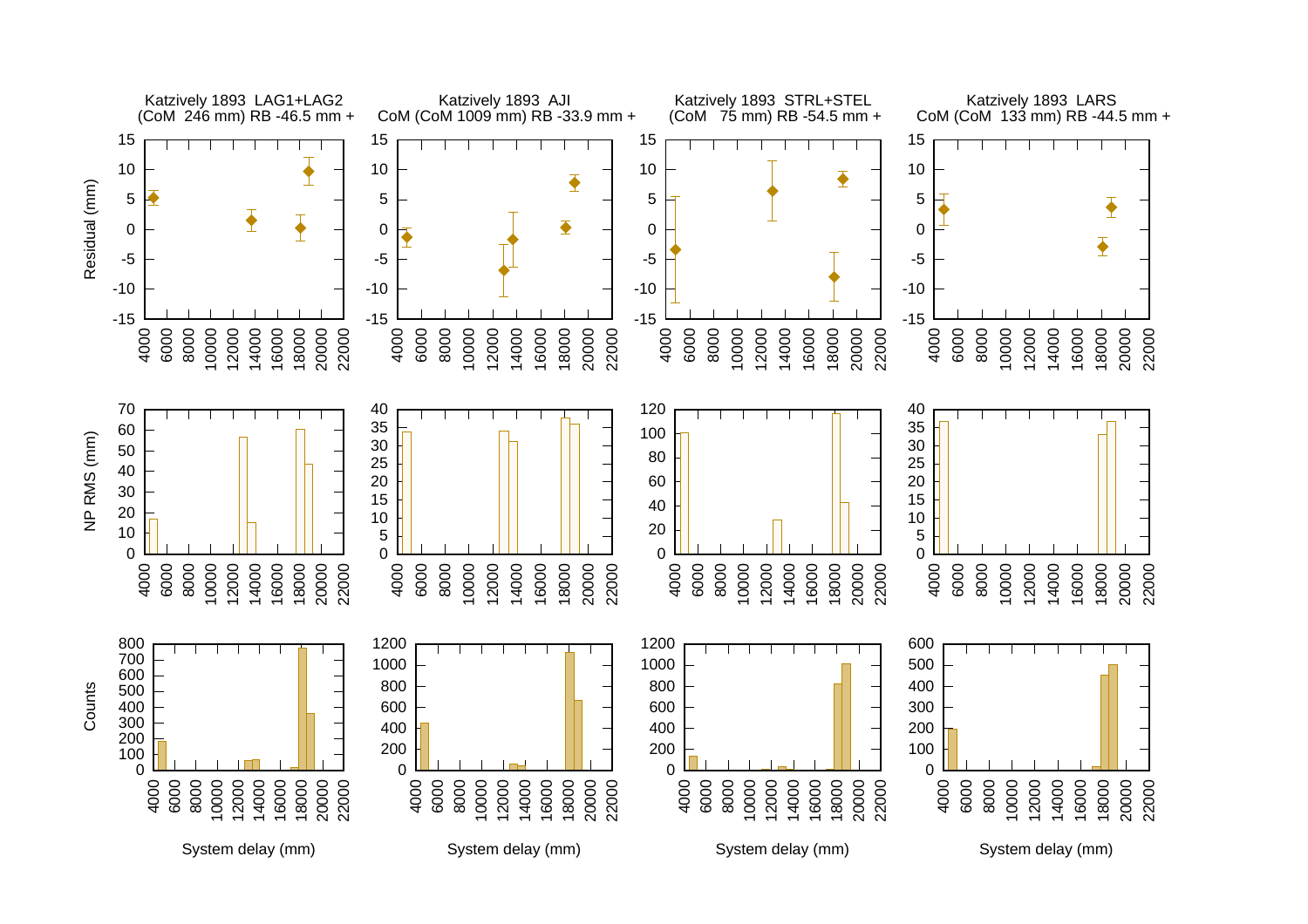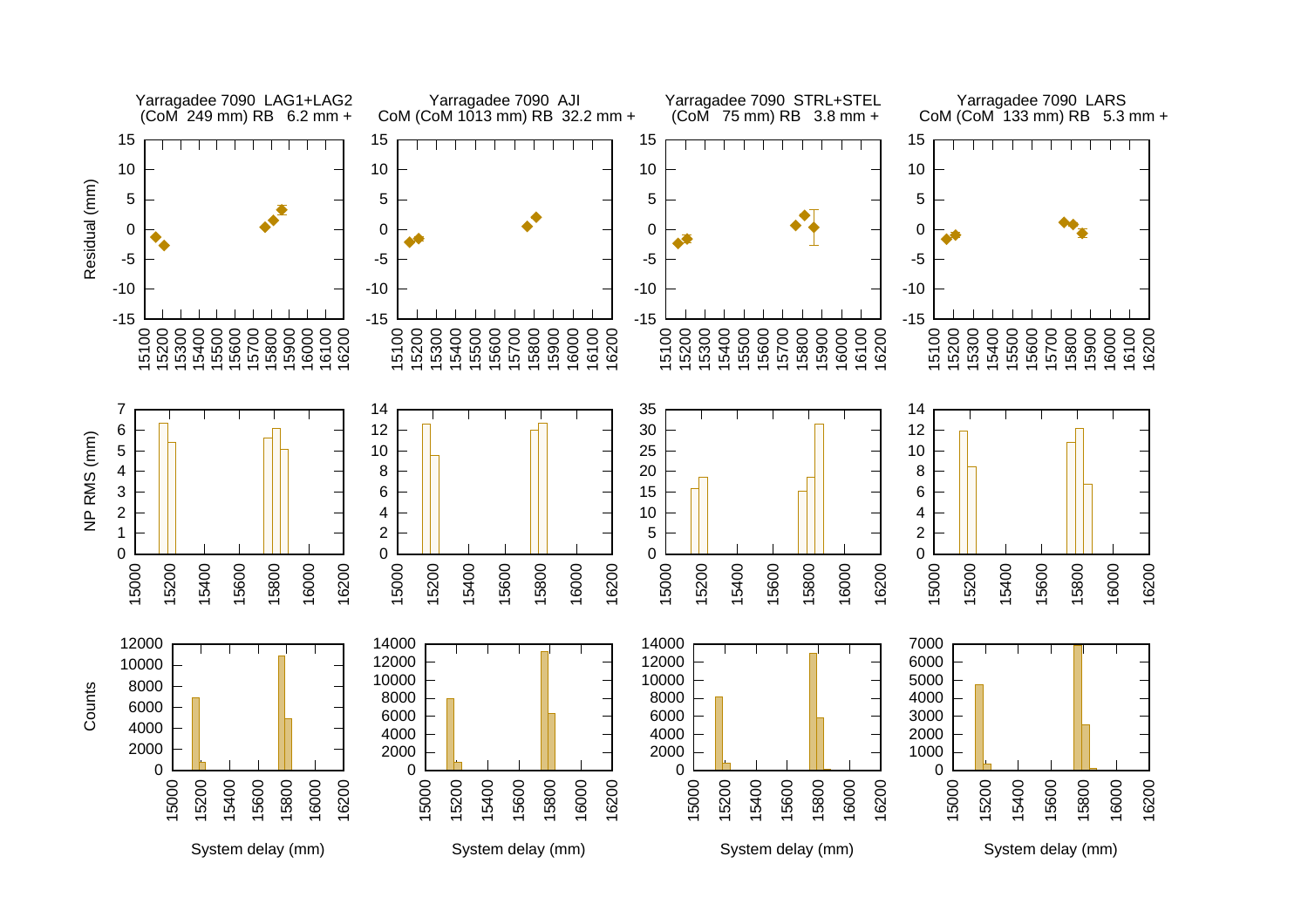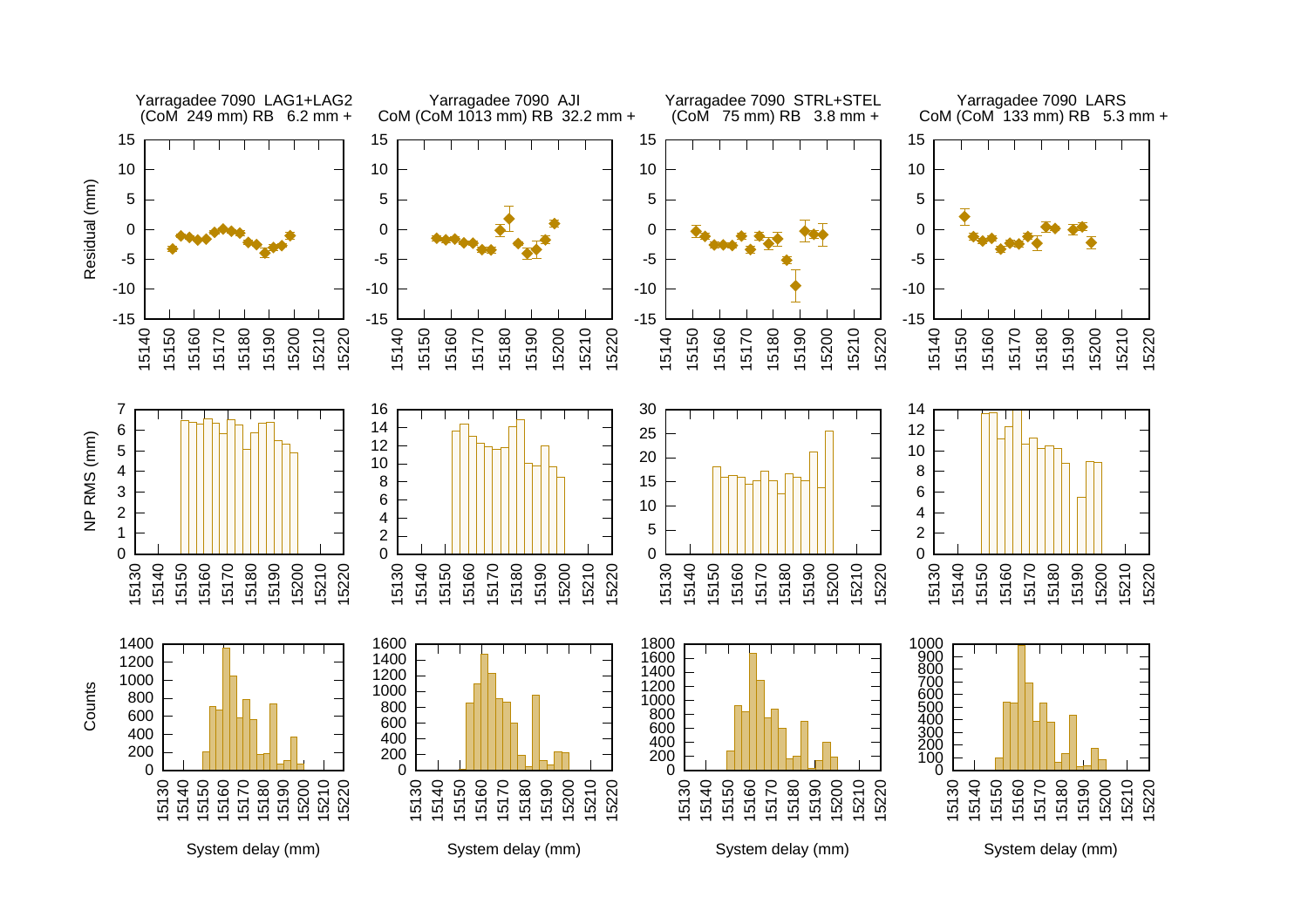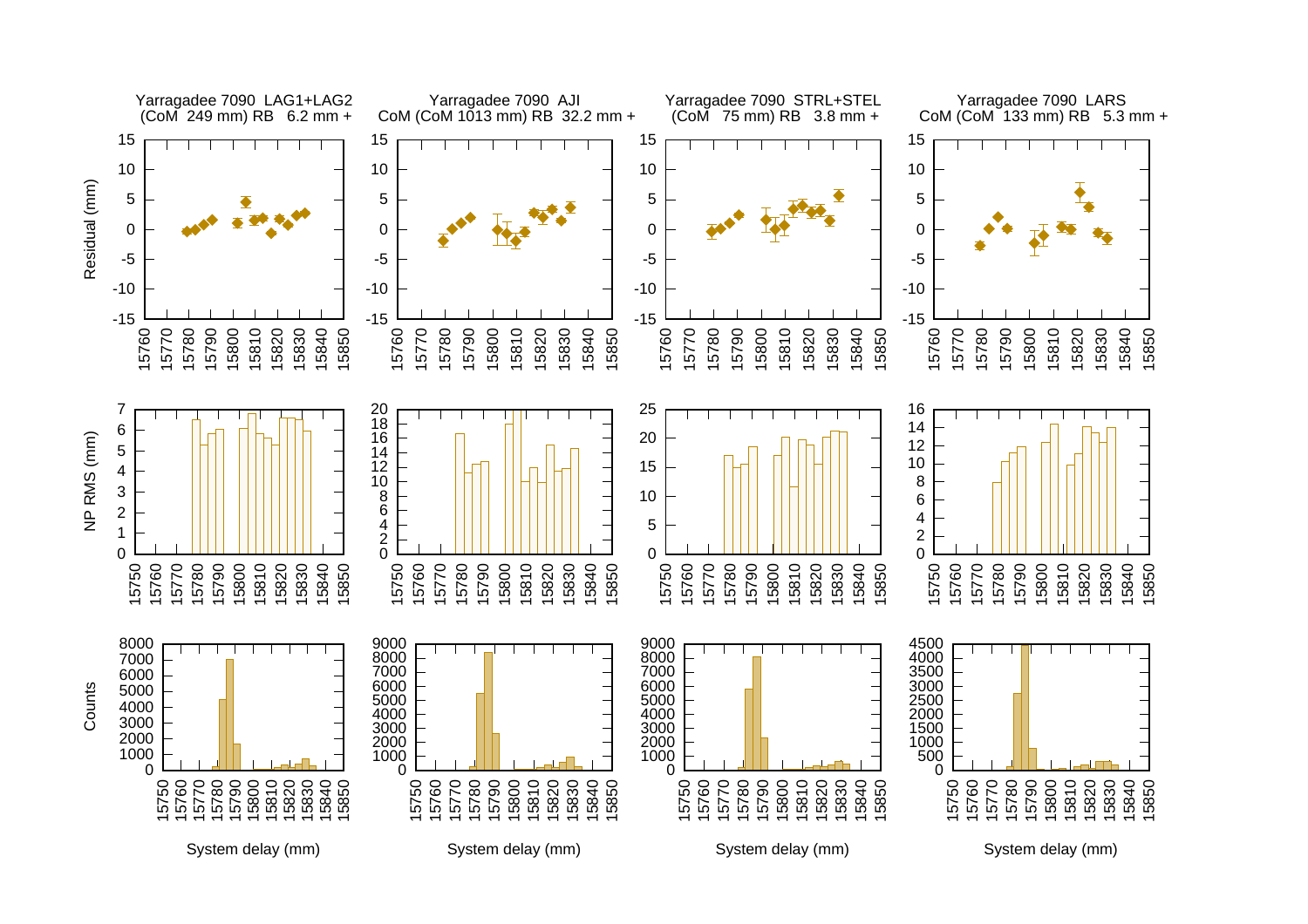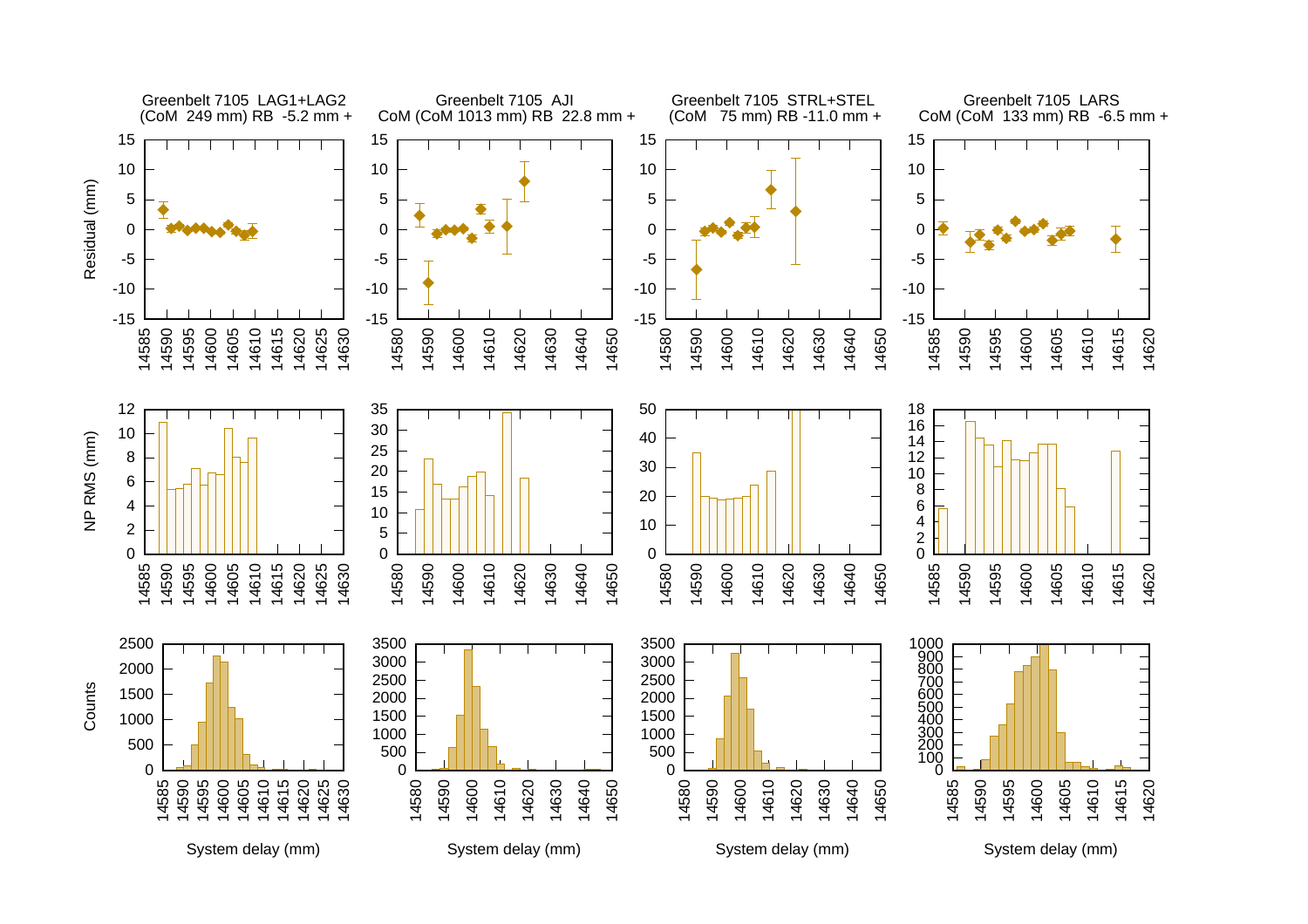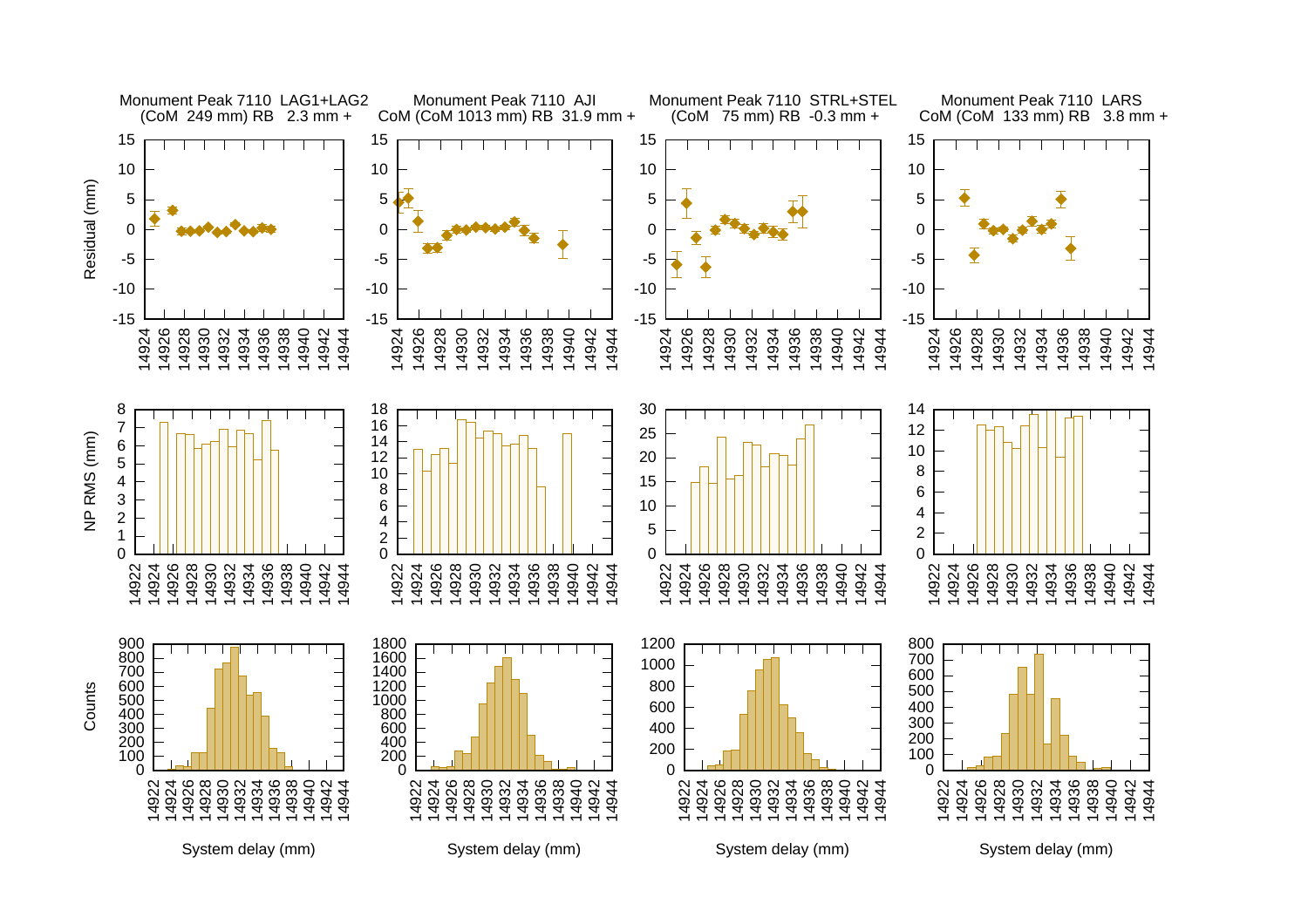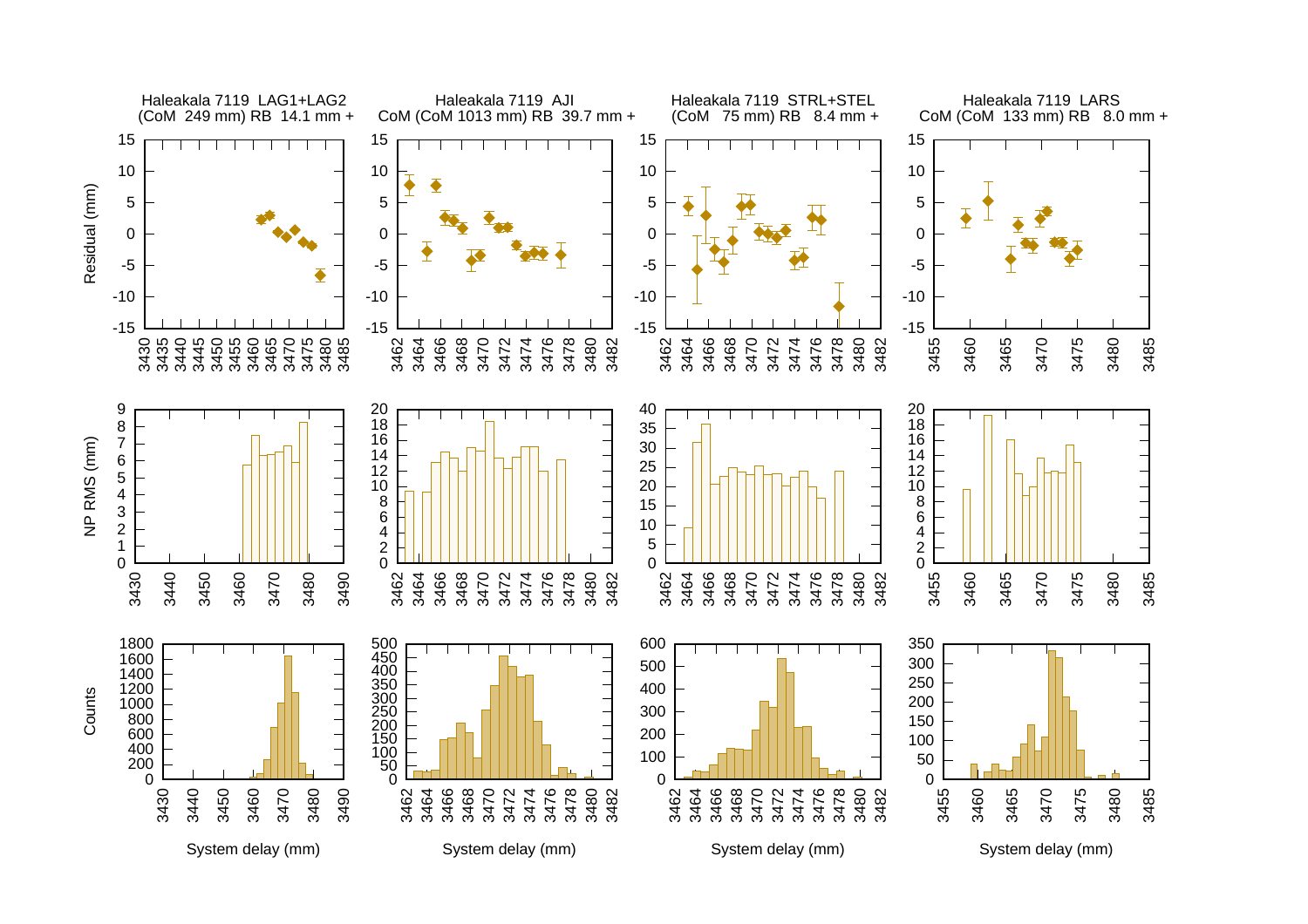

System delay (mm)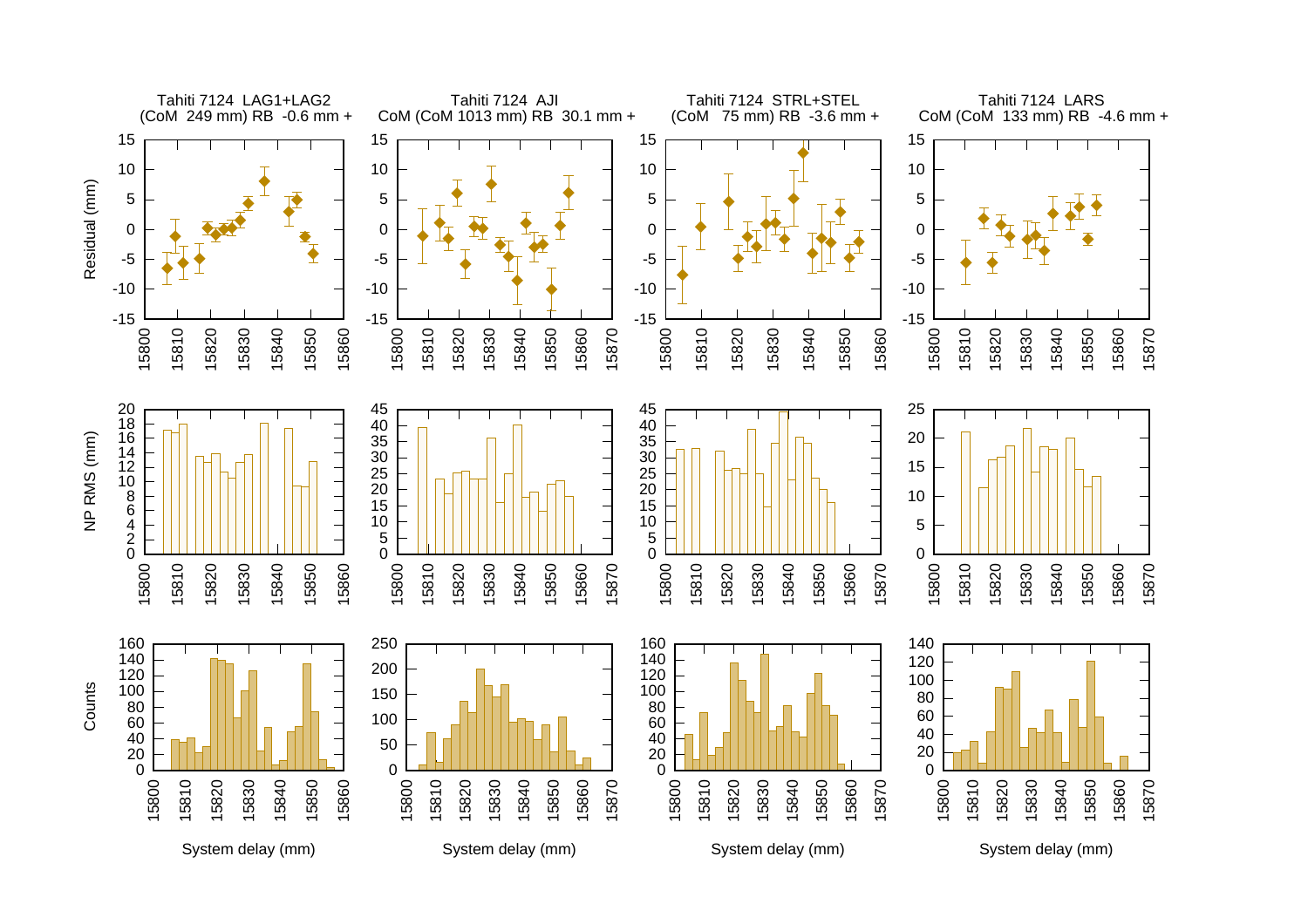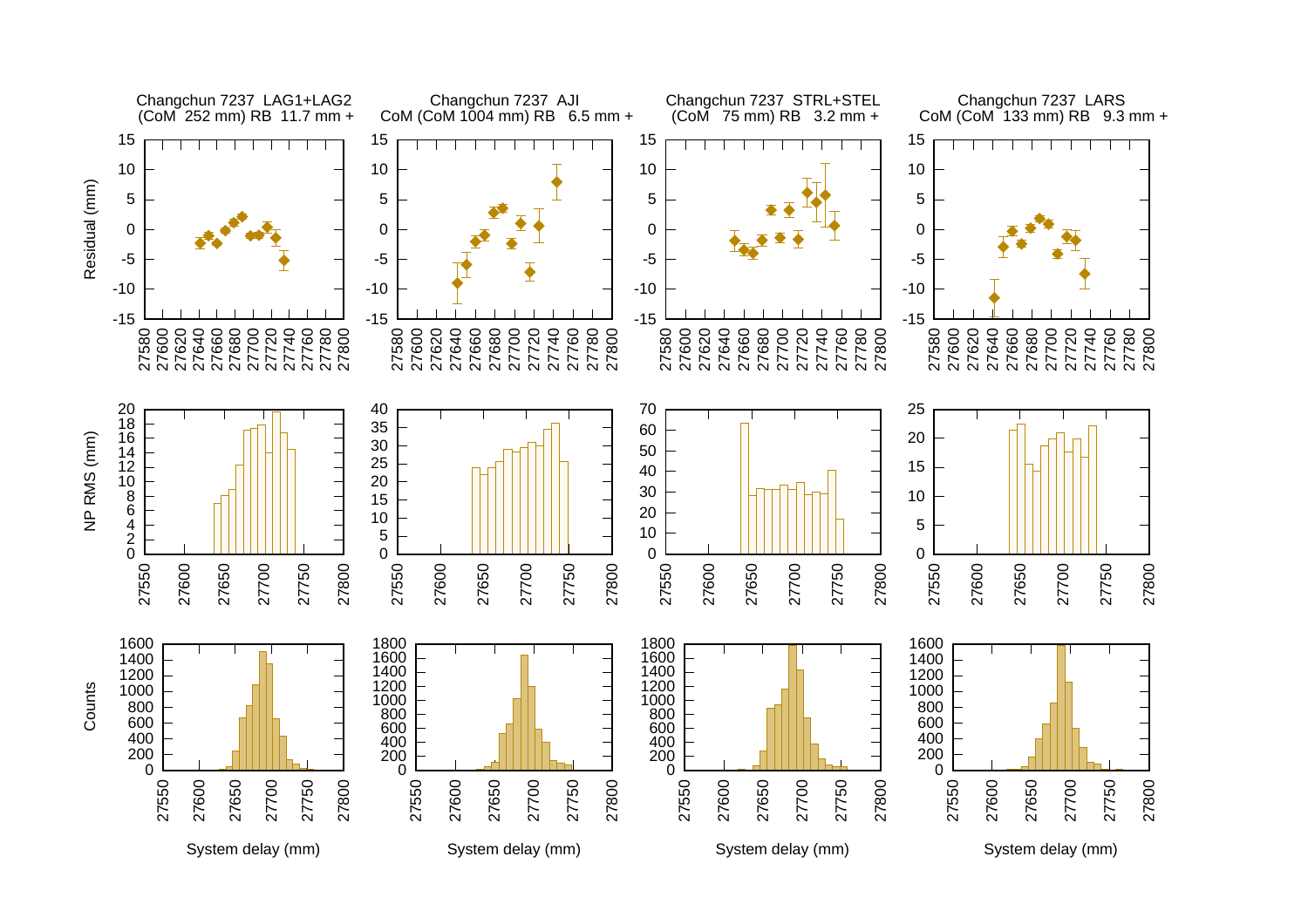![](_page_16_Figure_0.jpeg)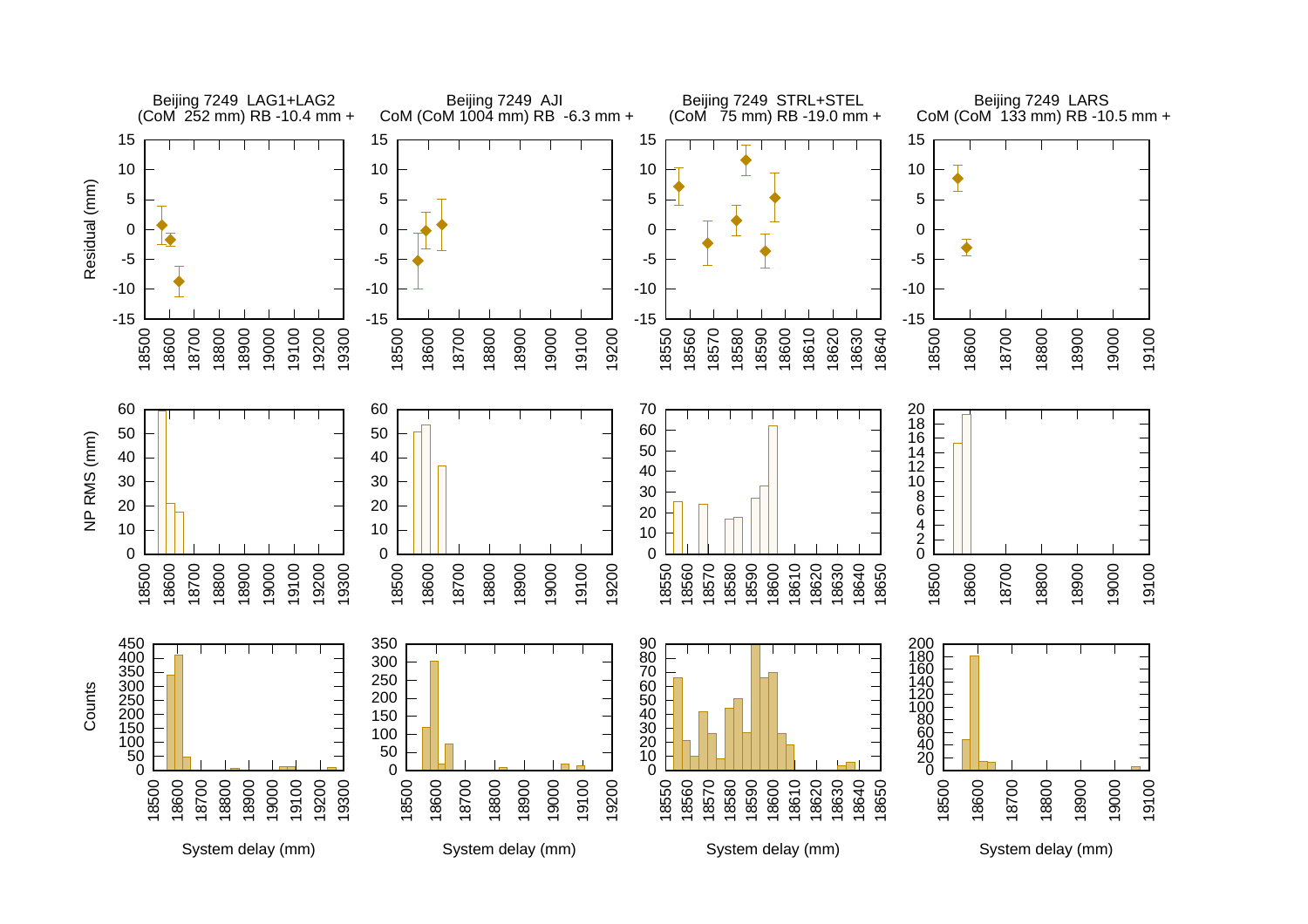![](_page_17_Figure_0.jpeg)

System delay (mm)

System delay (mm)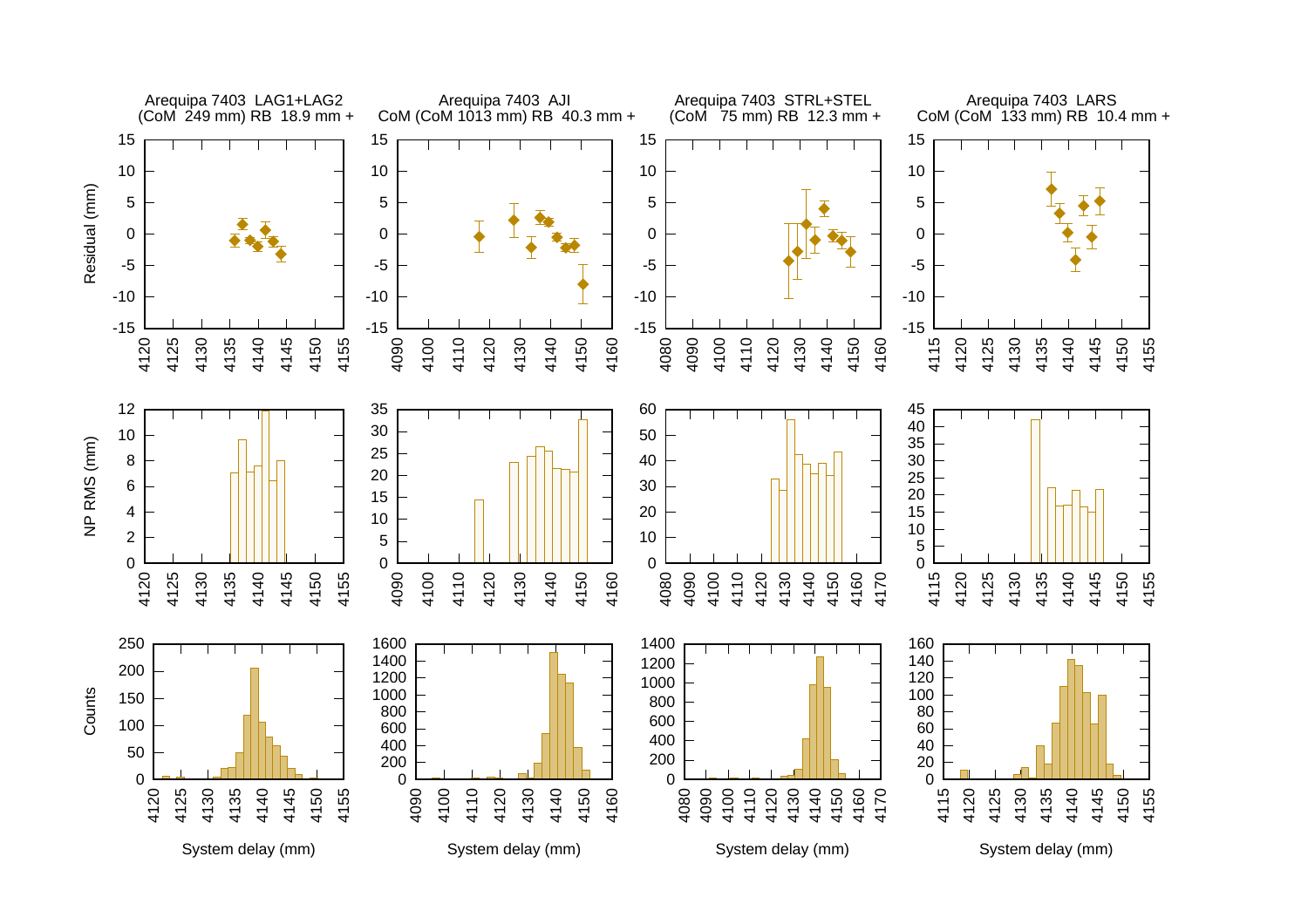![](_page_18_Figure_0.jpeg)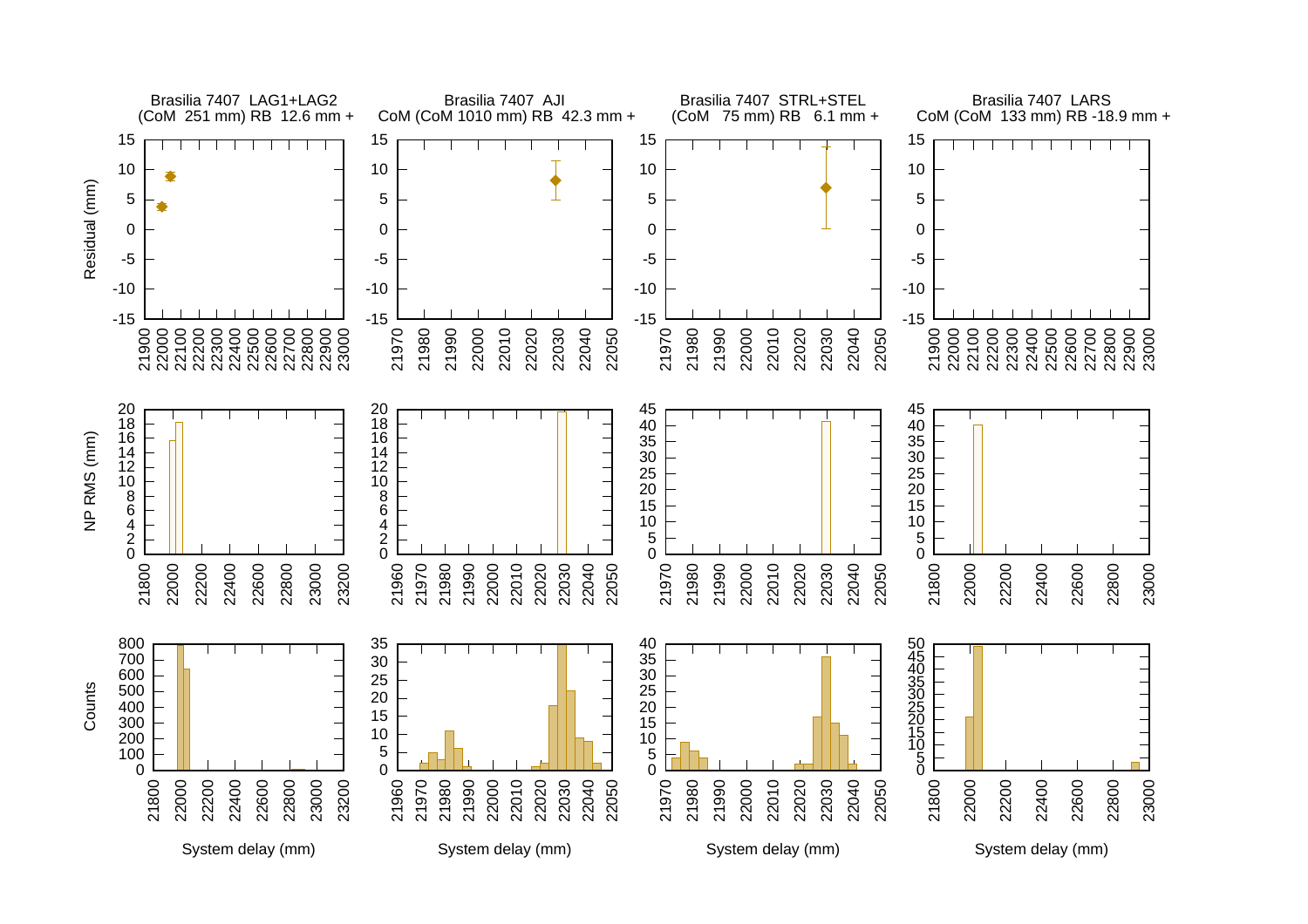![](_page_19_Figure_0.jpeg)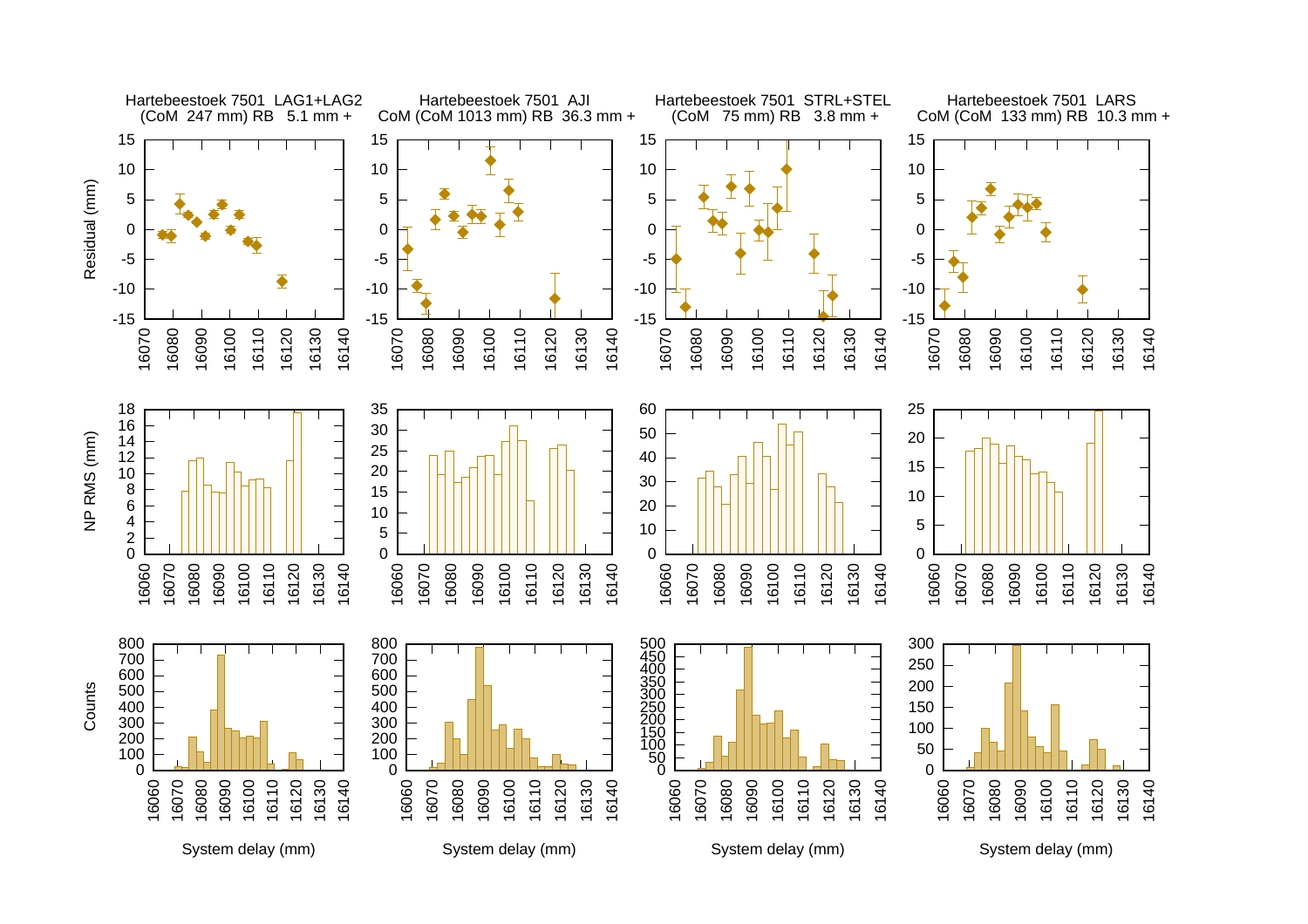![](_page_20_Figure_0.jpeg)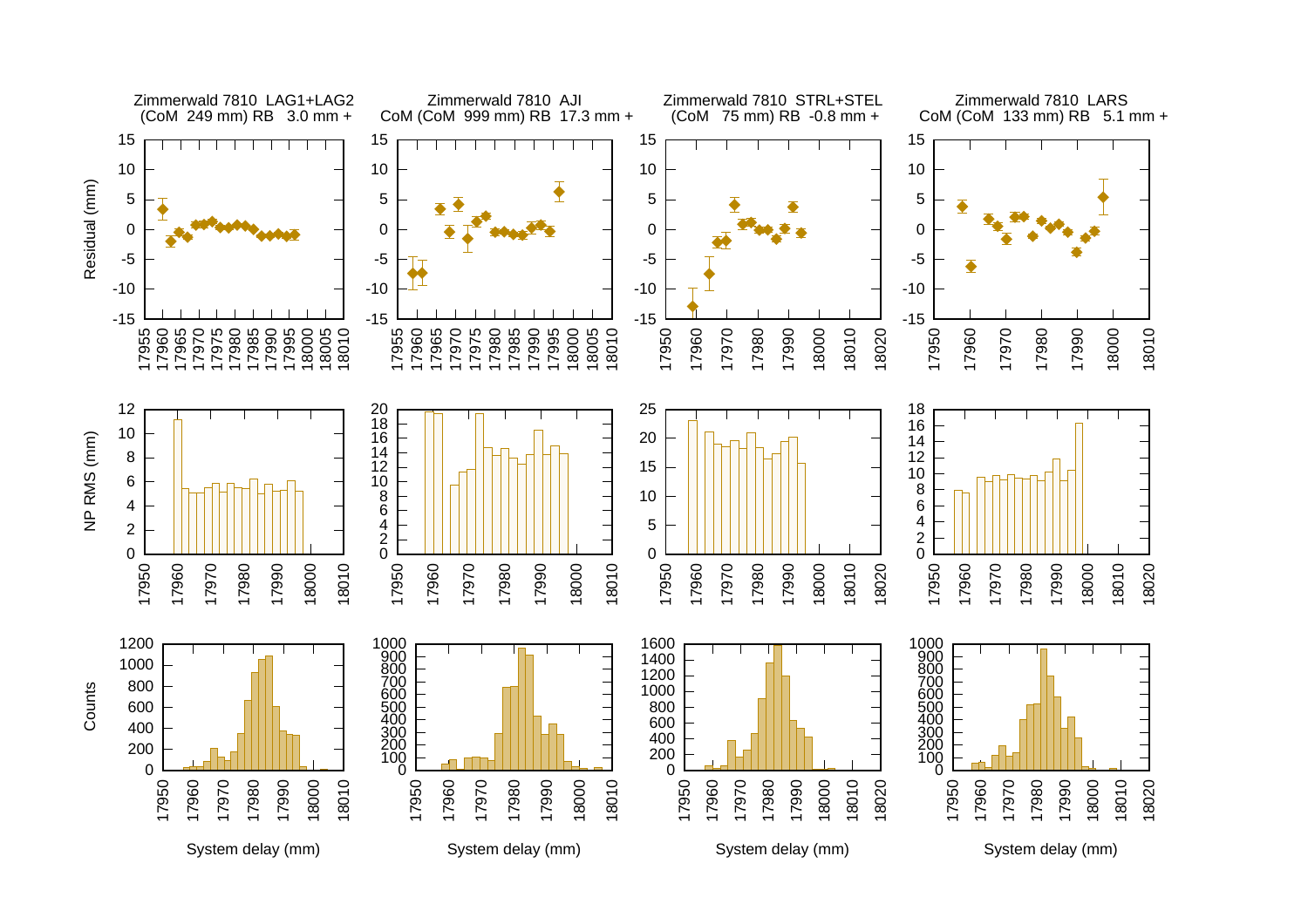![](_page_21_Figure_0.jpeg)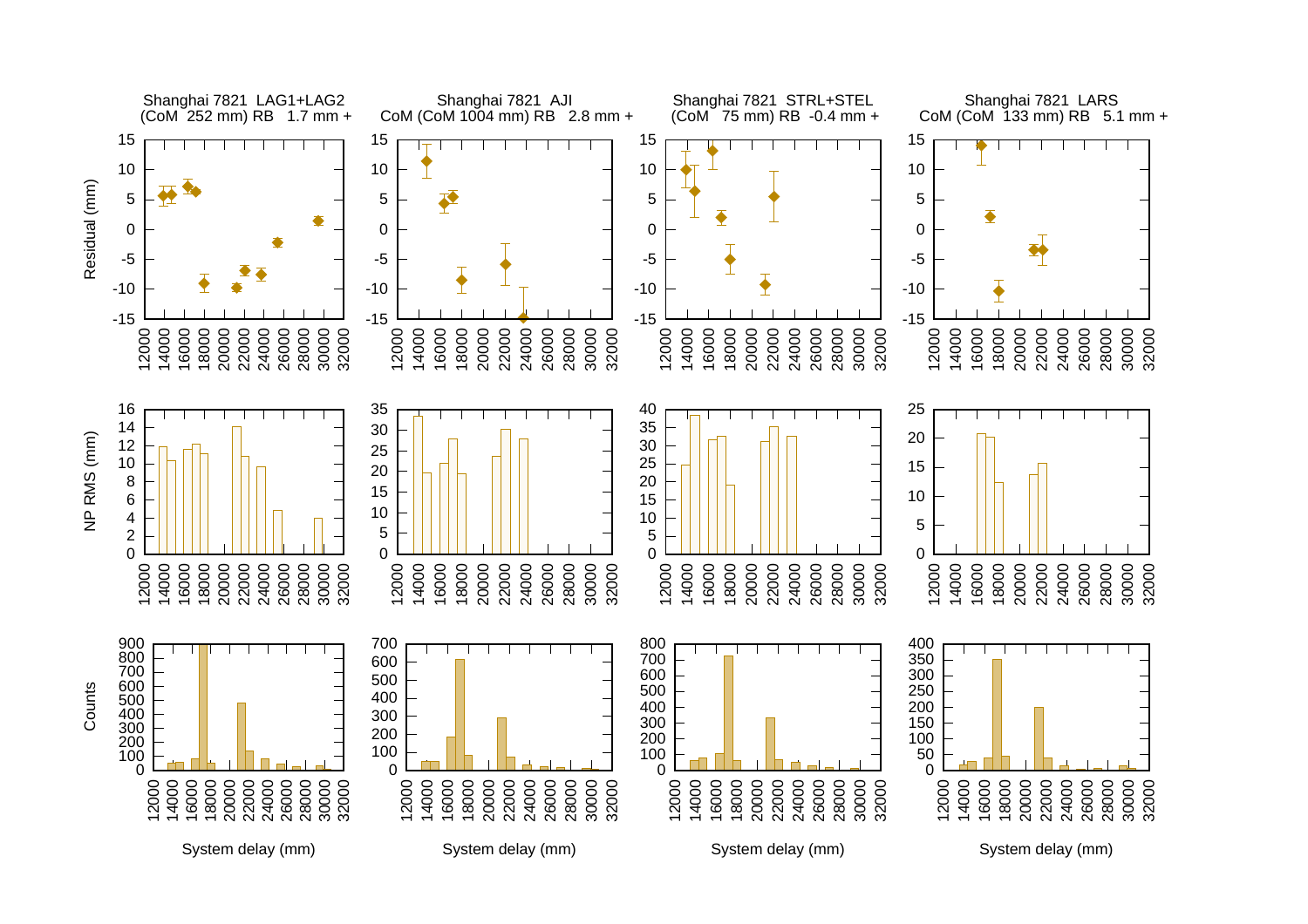![](_page_22_Figure_0.jpeg)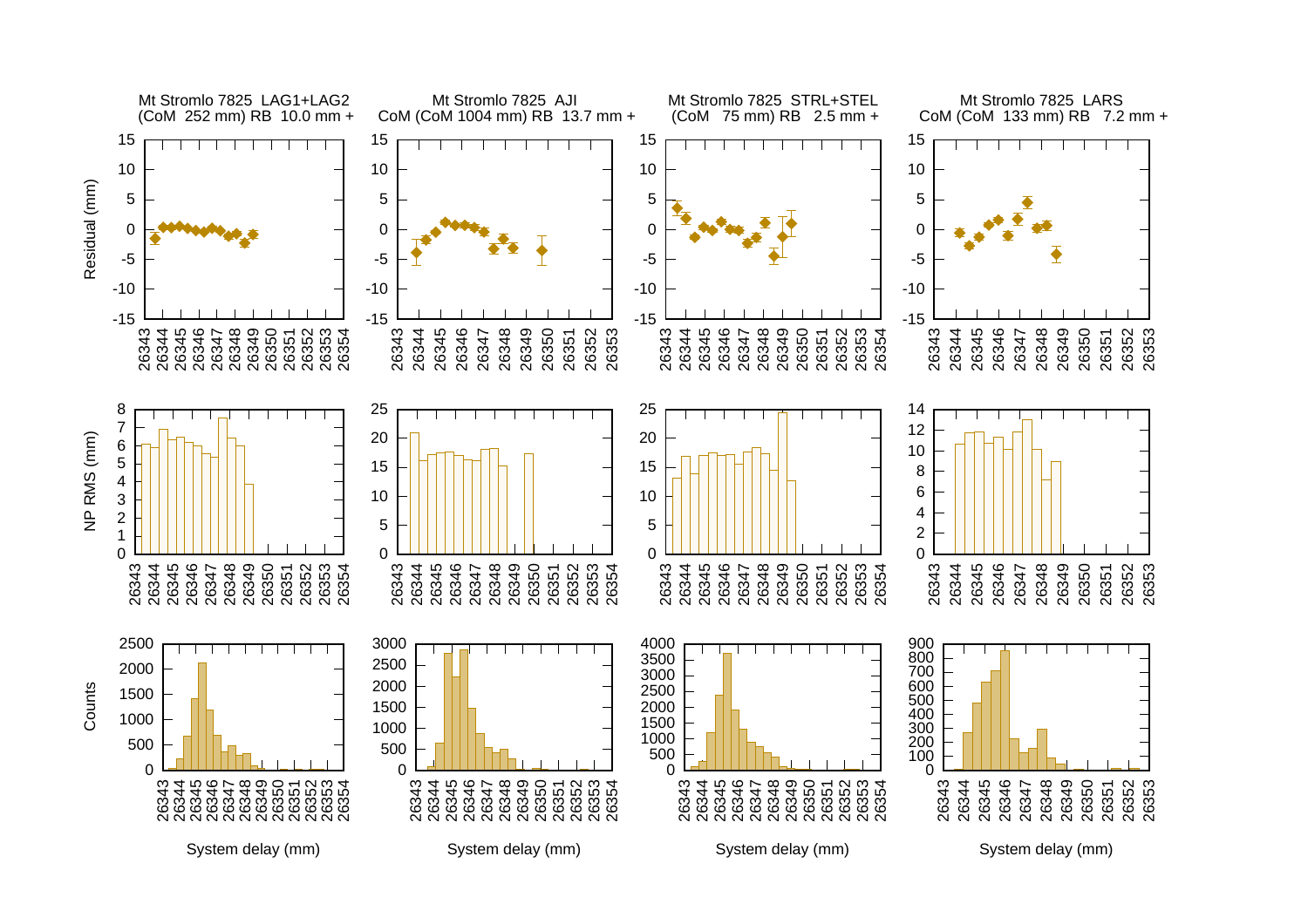![](_page_23_Figure_0.jpeg)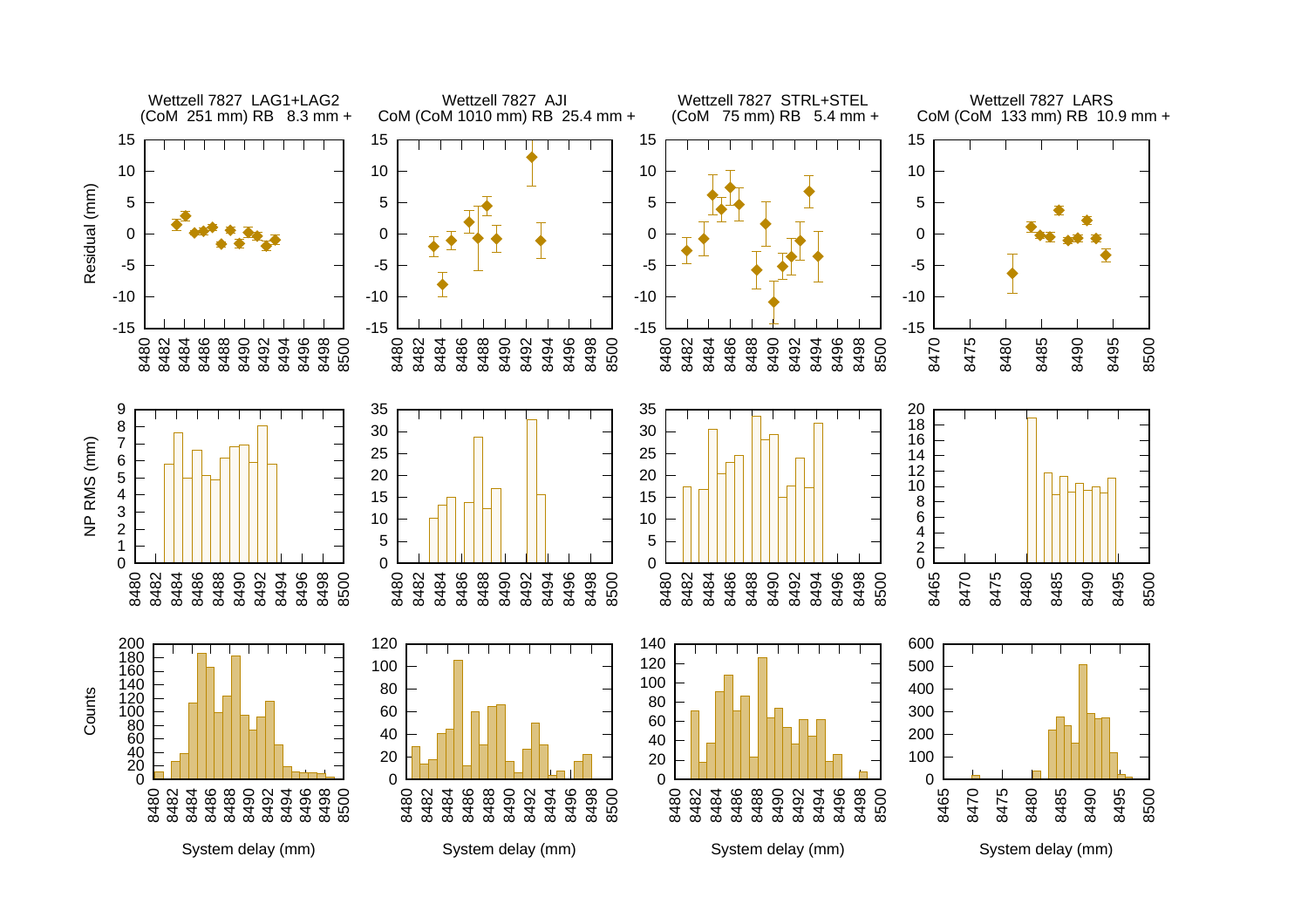![](_page_24_Figure_0.jpeg)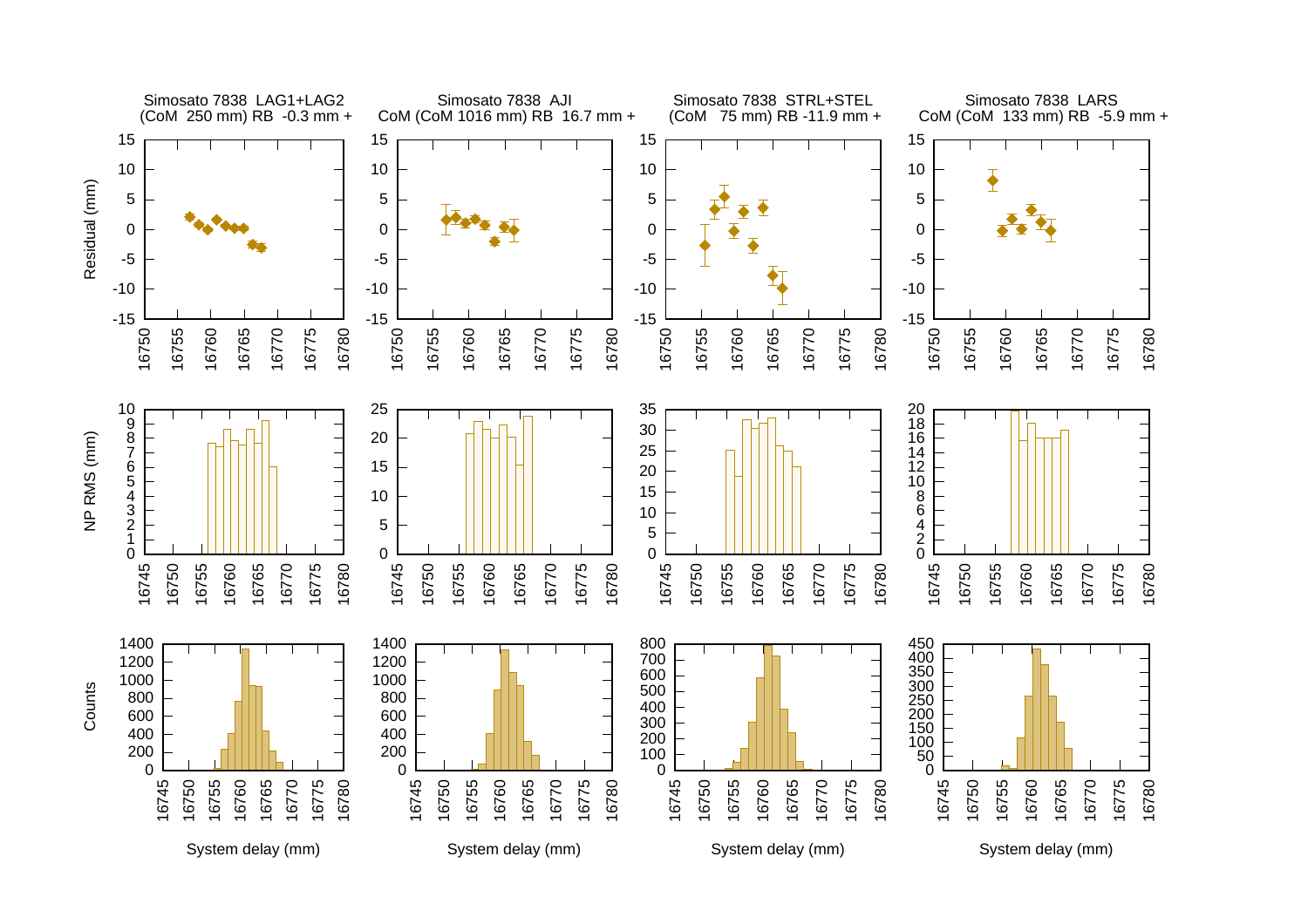![](_page_25_Figure_0.jpeg)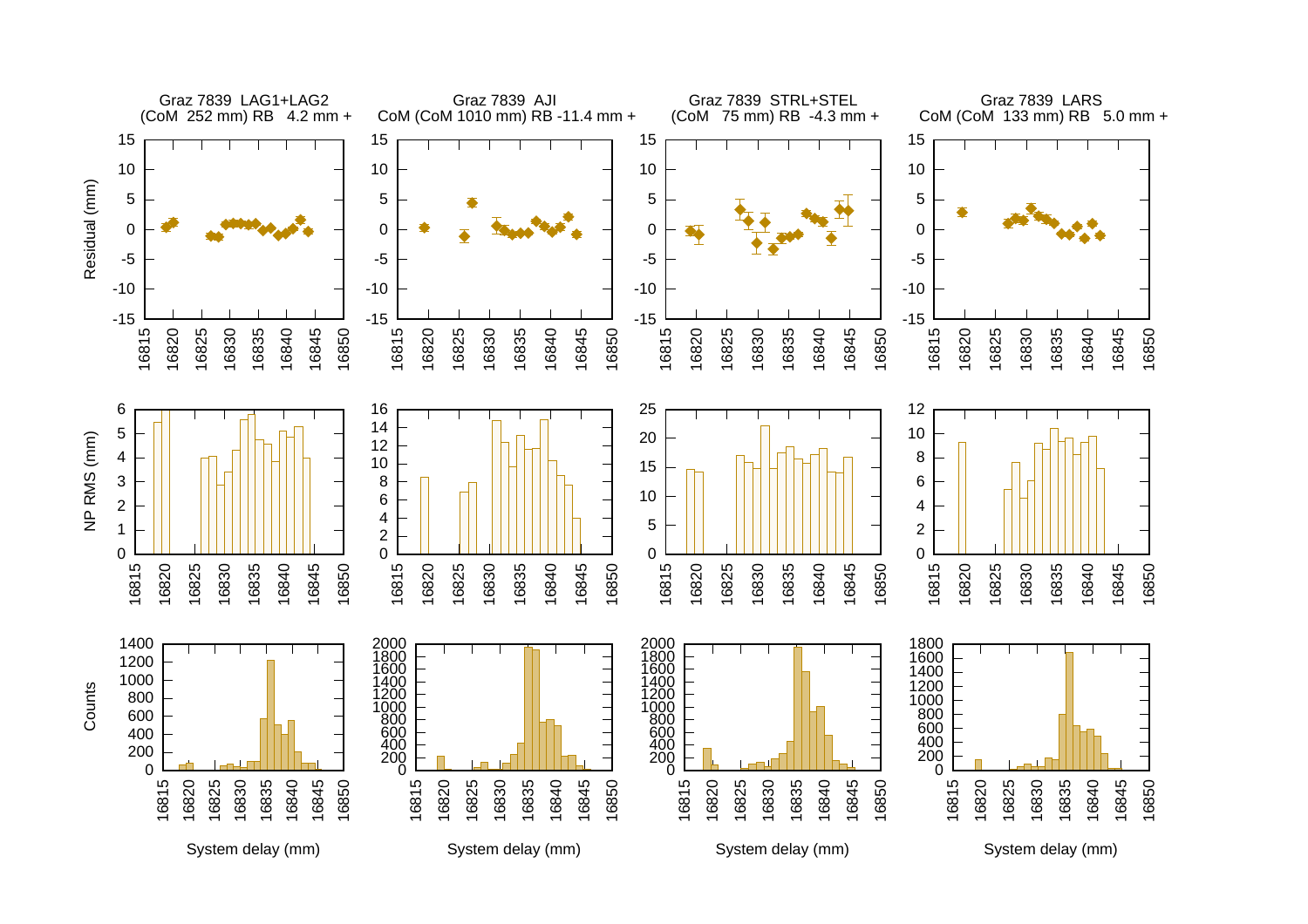![](_page_26_Figure_0.jpeg)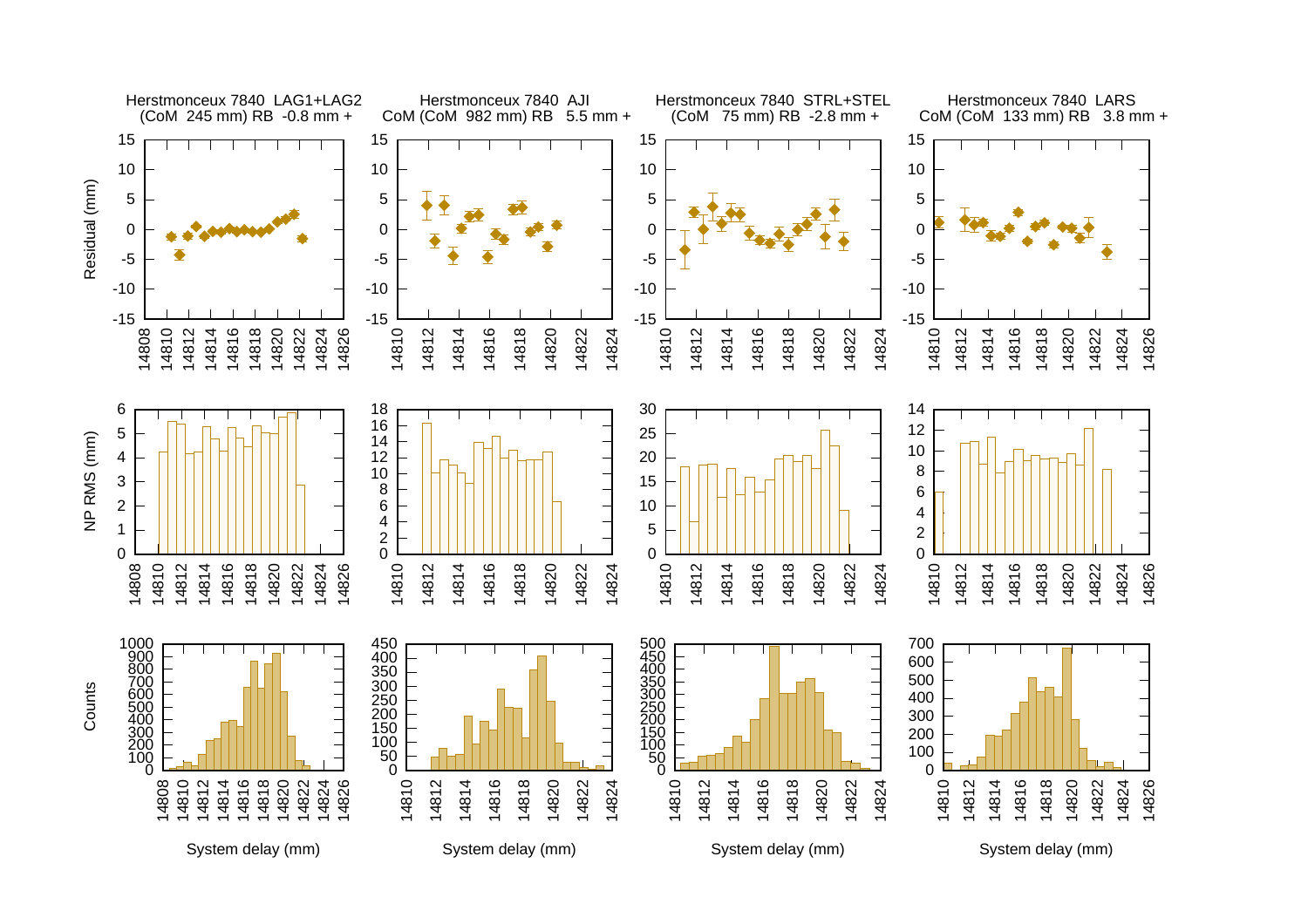![](_page_27_Figure_0.jpeg)

System delay (mm)

System delay (mm)

System delay (mm)

System delay (mm)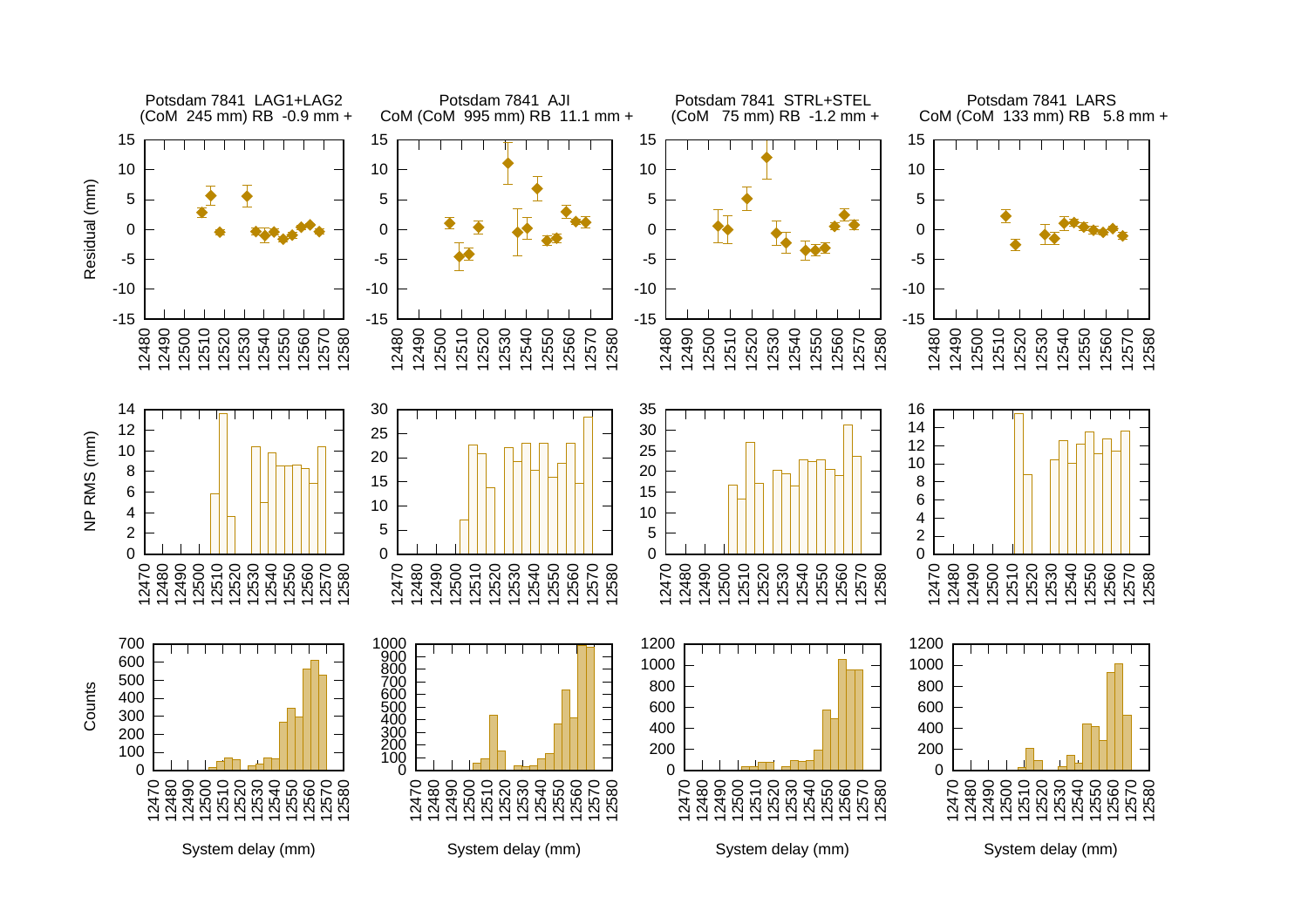![](_page_28_Figure_0.jpeg)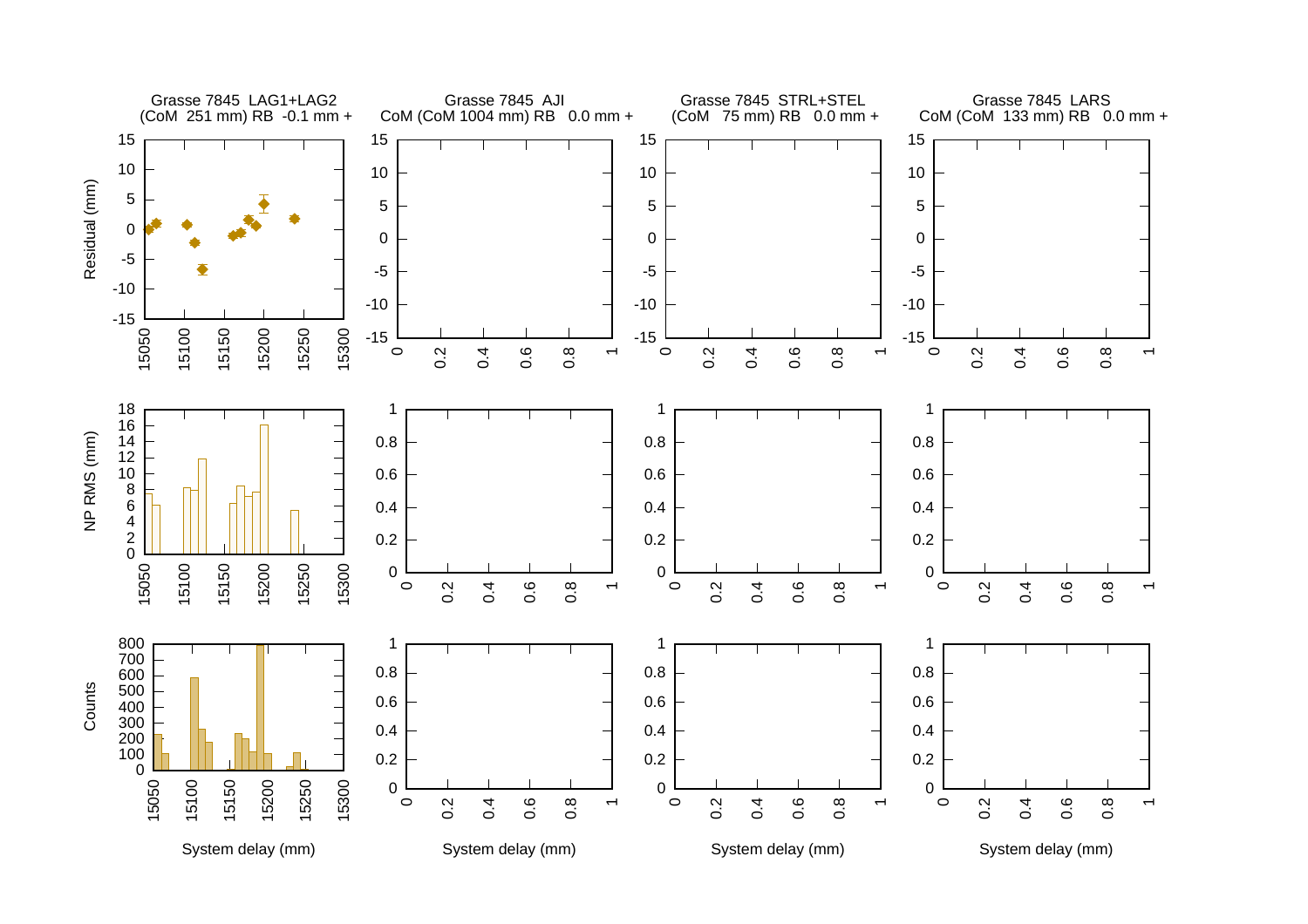![](_page_29_Figure_0.jpeg)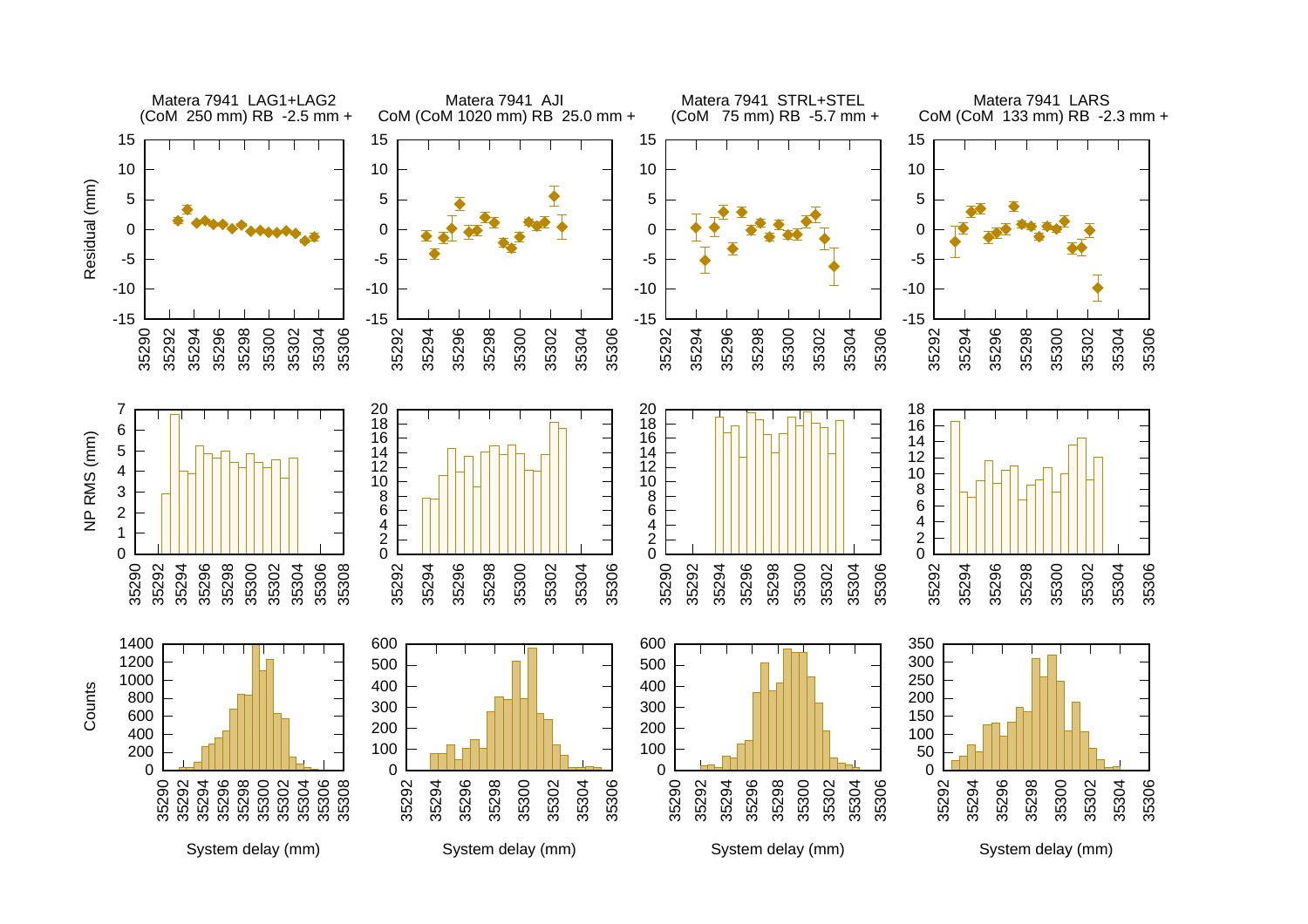![](_page_30_Figure_0.jpeg)